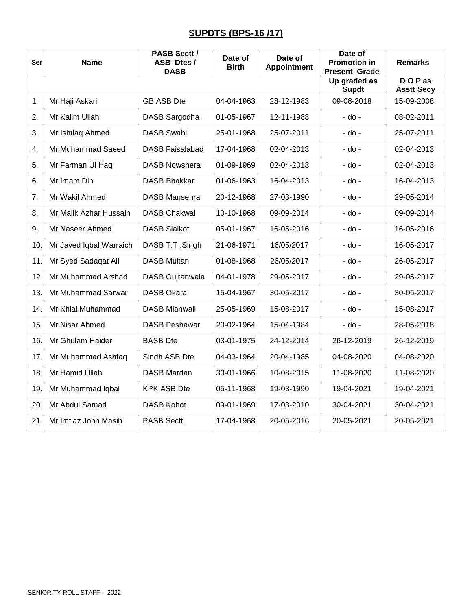## **SUPDTS (BPS-16 /17)**

| <b>Ser</b> | <b>Name</b>             | <b>PASB Sectt /</b><br>ASB Dtes/<br><b>DASB</b> | Date of<br><b>Birth</b> | Date of<br><b>Appointment</b> | Date of<br><b>Promotion in</b><br><b>Present Grade</b> | <b>Remarks</b>              |
|------------|-------------------------|-------------------------------------------------|-------------------------|-------------------------------|--------------------------------------------------------|-----------------------------|
|            |                         |                                                 |                         |                               | Up graded as<br><b>Supdt</b>                           | DOP as<br><b>Asstt Secy</b> |
| 1.         | Mr Haji Askari          | <b>GB ASB Dte</b>                               | 04-04-1963              | 28-12-1983                    | 09-08-2018                                             | 15-09-2008                  |
| 2.         | Mr Kalim Ullah          | DASB Sargodha                                   | 01-05-1967              | 12-11-1988                    | - do -                                                 | 08-02-2011                  |
| 3.         | Mr Ishtiaq Ahmed        | <b>DASB Swabi</b>                               | 25-01-1968              | 25-07-2011                    | - do -                                                 | 25-07-2011                  |
| 4.         | Mr Muhammad Saeed       | <b>DASB Faisalabad</b>                          | 17-04-1968              | 02-04-2013                    | - do -                                                 | 02-04-2013                  |
| 5.         | Mr Farman UI Haq        | <b>DASB Nowshera</b>                            | 01-09-1969              | 02-04-2013                    | - do -                                                 | 02-04-2013                  |
| 6.         | Mr Imam Din             | <b>DASB Bhakkar</b>                             | 01-06-1963              | 16-04-2013                    | - do -                                                 | 16-04-2013                  |
| 7.         | Mr Wakil Ahmed          | <b>DASB Mansehra</b>                            | 20-12-1968              | 27-03-1990                    | $-$ do $-$                                             | 29-05-2014                  |
| 8.         | Mr Malik Azhar Hussain  | <b>DASB Chakwal</b>                             | 10-10-1968              | 09-09-2014                    | - do -                                                 | 09-09-2014                  |
| 9.         | Mr Naseer Ahmed         | <b>DASB Sialkot</b>                             | 05-01-1967              | 16-05-2016                    | - do -                                                 | 16-05-2016                  |
| 10.        | Mr Javed Iqbal Warraich | DASB T.T. Singh                                 | 21-06-1971              | 16/05/2017                    | - do -                                                 | 16-05-2017                  |
| 11.        | Mr Syed Sadaqat Ali     | <b>DASB Multan</b>                              | 01-08-1968              | 26/05/2017                    | - do -                                                 | 26-05-2017                  |
| 12.        | Mr Muhammad Arshad      | DASB Gujranwala                                 | 04-01-1978              | 29-05-2017                    | - do -                                                 | 29-05-2017                  |
| 13.        | Mr Muhammad Sarwar      | <b>DASB Okara</b>                               | 15-04-1967              | 30-05-2017                    | $-$ do $-$                                             | 30-05-2017                  |
| 14.        | Mr Khial Muhammad       | <b>DASB Mianwali</b>                            | 25-05-1969              | 15-08-2017                    | $-$ do $-$                                             | 15-08-2017                  |
| 15.        | Mr Nisar Ahmed          | <b>DASB Peshawar</b>                            | 20-02-1964              | 15-04-1984                    | - do -                                                 | 28-05-2018                  |
| 16.        | Mr Ghulam Haider        | <b>BASB</b> Dte                                 | 03-01-1975              | 24-12-2014                    | 26-12-2019                                             | 26-12-2019                  |
| 17.        | Mr Muhammad Ashfaq      | Sindh ASB Dte                                   | 04-03-1964              | 20-04-1985                    | 04-08-2020                                             | 04-08-2020                  |
| 18.        | Mr Hamid Ullah          | <b>DASB Mardan</b>                              | 30-01-1966              | 10-08-2015                    | 11-08-2020                                             | 11-08-2020                  |
| 19.        | Mr Muhammad Iqbal       | <b>KPK ASB Dte</b>                              | 05-11-1968              | 19-03-1990                    | 19-04-2021                                             | 19-04-2021                  |
| 20.        | Mr Abdul Samad          | <b>DASB Kohat</b>                               | 09-01-1969              | 17-03-2010                    | 30-04-2021                                             | 30-04-2021                  |
| 21.        | Mr Imtiaz John Masih    | <b>PASB Sectt</b>                               | 17-04-1968              | 20-05-2016                    | 20-05-2021                                             | 20-05-2021                  |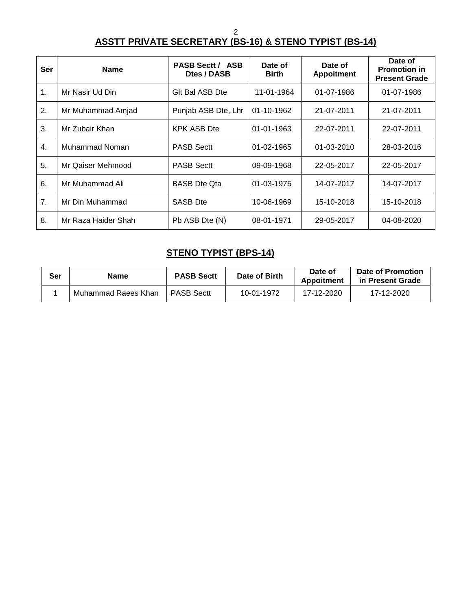2

## **ASSTT PRIVATE SECRETARY (BS-16) & STENO TYPIST (BS-14)**

| Ser              | <b>Name</b>         | <b>PASB Sectt / ASB</b><br>Dtes / DASB | Date of<br><b>Birth</b> | Date of<br><b>Appoitment</b> | Date of<br><b>Promotion in</b><br><b>Present Grade</b> |
|------------------|---------------------|----------------------------------------|-------------------------|------------------------------|--------------------------------------------------------|
| 1.               | Mr Nasir Ud Din     | GIt Bal ASB Dte                        | 11-01-1964              | 01-07-1986                   | 01-07-1986                                             |
| 2.               | Mr Muhammad Amjad   | Punjab ASB Dte, Lhr                    | 01-10-1962              | 21-07-2011                   | 21-07-2011                                             |
| 3.               | Mr Zubair Khan      | <b>KPK ASB Dte</b>                     | 01-01-1963              | 22-07-2011                   | 22-07-2011                                             |
| $\overline{4}$ . | Muhammad Noman      | <b>PASB Sectt</b>                      | 01-02-1965              | $01 - 03 - 2010$             | 28-03-2016                                             |
| 5.               | Mr Qaiser Mehmood   | <b>PASB Sectt</b>                      | 09-09-1968              | 22-05-2017                   | 22-05-2017                                             |
| 6.               | Mr Muhammad Ali     | <b>BASB</b> Dte Ota                    | 01-03-1975              | 14-07-2017                   | 14-07-2017                                             |
| 7.               | Mr Din Muhammad     | <b>SASB Dte</b>                        | 10-06-1969              | 15-10-2018                   | 15-10-2018                                             |
| 8.               | Mr Raza Haider Shah | Pb ASB Dte (N)                         | 08-01-1971              | 29-05-2017                   | 04-08-2020                                             |

# **STENO TYPIST (BPS-14)**

| Ser | Name                | <b>PASB Sectt</b> | Date of Birth | Date of<br>Appoitment | Date of Promotion<br>in Present Grade |
|-----|---------------------|-------------------|---------------|-----------------------|---------------------------------------|
|     | Muhammad Raees Khan | <b>PASB Sectt</b> | 10-01-1972    | 17-12-2020            | 17-12-2020                            |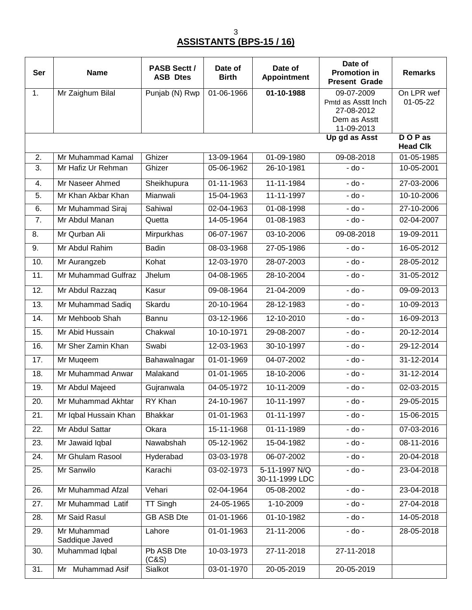# **ASSISTANTS (BPS-15 / 16)**

| <b>Ser</b>       | <b>Name</b>                   | <b>PASB Sectt /</b><br><b>ASB Dtes</b> | Date of<br><b>Birth</b> | Date of<br><b>Appointment</b>   | Date of<br><b>Promotion in</b><br><b>Present Grade</b>                       | <b>Remarks</b>            |
|------------------|-------------------------------|----------------------------------------|-------------------------|---------------------------------|------------------------------------------------------------------------------|---------------------------|
| 1.               | Mr Zaighum Bilal              | Punjab (N) Rwp                         | 01-06-1966              | 01-10-1988                      | 09-07-2009<br>Pmtd as Asstt Inch<br>27-08-2012<br>Dem as Asstt<br>11-09-2013 | On LPR wef<br>01-05-22    |
|                  |                               |                                        |                         |                                 | Up gd as Asst                                                                | DOP as<br><b>Head Clk</b> |
| 2.               | Mr Muhammad Kamal             | Ghizer                                 | 13-09-1964              | 01-09-1980                      | 09-08-2018                                                                   | 01-05-1985                |
| $\overline{3}$ . | Mr Hafiz Ur Rehman            | Ghizer                                 | 05-06-1962              | 26-10-1981                      | $-$ do $-$                                                                   | 10-05-2001                |
| 4.               | Mr Naseer Ahmed               | Sheikhupura                            | 01-11-1963              | 11-11-1984                      | - do -                                                                       | 27-03-2006                |
| 5.               | Mr Khan Akbar Khan            | Mianwali                               | 15-04-1963              | 11-11-1997                      | - do -                                                                       | 10-10-2006                |
| 6.               | Mr Muhammad Siraj             | Sahiwal                                | $02 - 04 - 1963$        | 01-08-1998                      | $-do -$                                                                      | 27-10-2006                |
| 7.               | Mr Abdul Manan                | Quetta                                 | 14-05-1964              | 01-08-1983                      | - do -                                                                       | 02-04-2007                |
| 8.               | Mr Qurban Ali                 | Mirpurkhas                             | 06-07-1967              | 03-10-2006                      | 09-08-2018                                                                   | 19-09-2011                |
| 9.               | Mr Abdul Rahim                | <b>Badin</b>                           | 08-03-1968              | 27-05-1986                      | $-do -$                                                                      | 16-05-2012                |
| 10.              | Mr Aurangzeb                  | Kohat                                  | 12-03-1970              | 28-07-2003                      | $-$ do $-$                                                                   | 28-05-2012                |
| 11.              | Mr Muhammad Gulfraz           | Jhelum                                 | 04-08-1965              | 28-10-2004                      | $-$ do $-$                                                                   | 31-05-2012                |
| 12.              | Mr Abdul Razzaq               | Kasur                                  | 09-08-1964              | 21-04-2009                      | - do -                                                                       | $09-09-2013$              |
| 13.              | Mr Muhammad Sadiq             | Skardu                                 | 20-10-1964              | 28-12-1983                      | - do -                                                                       | 10-09-2013                |
| 14.              | Mr Mehboob Shah               | Bannu                                  | 03-12-1966              | 12-10-2010                      | - do -                                                                       | 16-09-2013                |
| 15.              | Mr Abid Hussain               | Chakwal                                | 10-10-1971              | 29-08-2007                      | - do -                                                                       | 20-12-2014                |
| 16.              | Mr Sher Zamin Khan            | Swabi                                  | 12-03-1963              | 30-10-1997                      | - do -                                                                       | 29-12-2014                |
| 17.              | Mr Muqeem                     | Bahawalnagar                           | 01-01-1969              | 04-07-2002                      | - do -                                                                       | 31-12-2014                |
| 18.              | Mr Muhammad Anwar             | Malakand                               | 01-01-1965              | 18-10-2006                      | - do -                                                                       | 31-12-2014                |
| 19.              | Mr Abdul Majeed               | Gujranwala                             | 04-05-1972              | 10-11-2009                      | - do -                                                                       | 02-03-2015                |
| 20.              | Mr Muhammad Akhtar            | RY Khan                                | 24-10-1967              | 10-11-1997                      | - do -                                                                       | 29-05-2015                |
| 21.              | Mr Iqbal Hussain Khan         | <b>Bhakkar</b>                         | 01-01-1963              | 01-11-1997                      | - do -                                                                       | 15-06-2015                |
| 22.              | Mr Abdul Sattar               | Okara                                  | 15-11-1968              | 01-11-1989                      | $-$ do $-$                                                                   | 07-03-2016                |
| 23.              | Mr Jawaid Iqbal               | Nawabshah                              | 05-12-1962              | 15-04-1982                      | $-do -$                                                                      | 08-11-2016                |
| 24.              | Mr Ghulam Rasool              | Hyderabad                              | 03-03-1978              | 06-07-2002                      | $-$ do $-$                                                                   | 20-04-2018                |
| 25.              | Mr Sanwilo                    | Karachi                                | 03-02-1973              | 5-11-1997 N/Q<br>30-11-1999 LDC | $-$ do $-$                                                                   | 23-04-2018                |
| 26.              | Mr Muhammad Afzal             | Vehari                                 | 02-04-1964              | 05-08-2002                      | $-$ do $-$                                                                   | 23-04-2018                |
| 27.              | Mr Muhammad Latif             | <b>TT Singh</b>                        | 24-05-1965              | 1-10-2009                       | $-$ do $-$                                                                   | 27-04-2018                |
| 28.              | Mr Said Rasul                 | <b>GB ASB Dte</b>                      | 01-01-1966              | 01-10-1982                      | - do -                                                                       | 14-05-2018                |
| 29.              | Mr Muhammad<br>Saddique Javed | Lahore                                 | 01-01-1963              | 21-11-2006                      | $-$ do $-$                                                                   | 28-05-2018                |
| 30.              | Muhammad Iqbal                | Pb ASB Dte<br>(C&S)                    | 10-03-1973              | 27-11-2018                      | 27-11-2018                                                                   |                           |
| 31.              | Mr Muhammad Asif              | Sialkot                                | 03-01-1970              | 20-05-2019                      | 20-05-2019                                                                   |                           |

3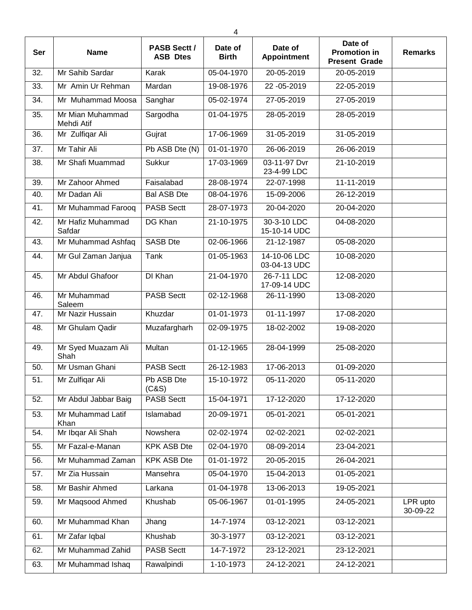| 4   |                                |                                        |                         |                               |                                                        |                      |
|-----|--------------------------------|----------------------------------------|-------------------------|-------------------------------|--------------------------------------------------------|----------------------|
| Ser | <b>Name</b>                    | <b>PASB Sectt /</b><br><b>ASB Dtes</b> | Date of<br><b>Birth</b> | Date of<br><b>Appointment</b> | Date of<br><b>Promotion in</b><br><b>Present Grade</b> | <b>Remarks</b>       |
| 32. | Mr Sahib Sardar                | Karak                                  | 05-04-1970              | 20-05-2019                    | 20-05-2019                                             |                      |
| 33. | Mr Amin Ur Rehman              | Mardan                                 | 19-08-1976              | 22 - 05 - 2019                | 22-05-2019                                             |                      |
| 34. | Mr Muhammad Moosa              | Sanghar                                | 05-02-1974              | 27-05-2019                    | 27-05-2019                                             |                      |
| 35. | Mr Mian Muhammad<br>Mehdi Atif | Sargodha                               | 01-04-1975              | 28-05-2019                    | 28-05-2019                                             |                      |
| 36. | Mr Zulfiqar Ali                | Gujrat                                 | 17-06-1969              | 31-05-2019                    | 31-05-2019                                             |                      |
| 37. | Mr Tahir Ali                   | Pb ASB Dte (N)                         | 01-01-1970              | 26-06-2019                    | 26-06-2019                                             |                      |
| 38. | Mr Shafi Muammad               | <b>Sukkur</b>                          | $17 - 03 - 1969$        | 03-11-97 Dvr<br>23-4-99 LDC   | 21-10-2019                                             |                      |
| 39. | Mr Zahoor Ahmed                | Faisalabad                             | 28-08-1974              | 22-07-1998                    | 11-11-2019                                             |                      |
| 40. | Mr Dadan Ali                   | <b>Bal ASB Dte</b>                     | 08-04-1976              | 15-09-2006                    | 26-12-2019                                             |                      |
| 41. | Mr Muhammad Farooq             | <b>PASB Sectt</b>                      | 28-07-1973              | 20-04-2020                    | 20-04-2020                                             |                      |
| 42. | Mr Hafiz Muhammad<br>Safdar    | DG Khan                                | 21-10-1975              | 30-3-10 LDC<br>15-10-14 UDC   | 04-08-2020                                             |                      |
| 43. | Mr Muhammad Ashfaq             | <b>SASB Dte</b>                        | 02-06-1966              | 21-12-1987                    | 05-08-2020                                             |                      |
| 44. | Mr Gul Zaman Janjua            | Tank                                   | 01-05-1963              | 14-10-06 LDC<br>03-04-13 UDC  | 10-08-2020                                             |                      |
| 45. | Mr Abdul Ghafoor               | DI Khan                                | 21-04-1970              | 26-7-11 LDC<br>17-09-14 UDC   | 12-08-2020                                             |                      |
| 46. | Mr Muhammad<br>Saleem          | <b>PASB Sectt</b>                      | 02-12-1968              | 26-11-1990                    | 13-08-2020                                             |                      |
| 47. | Mr Nazir Hussain               | Khuzdar                                | 01-01-1973              | 01-11-1997                    | 17-08-2020                                             |                      |
| 48. | Mr Ghulam Qadir                | Muzafargharh                           | 02-09-1975              | 18-02-2002                    | 19-08-2020                                             |                      |
| 49. | Mr Syed Muazam Ali<br>Shah     | Multan                                 | 01-12-1965              | 28-04-1999                    | 25-08-2020                                             |                      |
| 50. | Mr Usman Ghani                 | <b>PASB Sectt</b>                      | 26-12-1983              | 17-06-2013                    | 01-09-2020                                             |                      |
| 51. | Mr Zulfiqar Ali                | Pb ASB Dte<br>(C&S)                    | 15-10-1972              | 05-11-2020                    | 05-11-2020                                             |                      |
| 52. | Mr Abdul Jabbar Baig           | <b>PASB Sectt</b>                      | 15-04-1971              | 17-12-2020                    | 17-12-2020                                             |                      |
| 53. | Mr Muhammad Latif<br>Khan      | Islamabad                              | 20-09-1971              | 05-01-2021                    | 05-01-2021                                             |                      |
| 54. | Mr Ibqar Ali Shah              | Nowshera                               | 02-02-1974              | 02-02-2021                    | 02-02-2021                                             |                      |
| 55. | Mr Fazal-e-Manan               | <b>KPK ASB Dte</b>                     | 02-04-1970              | 08-09-2014                    | 23-04-2021                                             |                      |
| 56. | Mr Muhammad Zaman              | <b>KPK ASB Dte</b>                     | 01-01-1972              | 20-05-2015                    | 26-04-2021                                             |                      |
| 57. | Mr Zia Hussain                 | Mansehra                               | 05-04-1970              | 15-04-2013                    | 01-05-2021                                             |                      |
| 58. | Mr Bashir Ahmed                | Larkana                                | 01-04-1978              | 13-06-2013                    | 19-05-2021                                             |                      |
| 59. | Mr Maqsood Ahmed               | Khushab                                | 05-06-1967              | 01-01-1995                    | 24-05-2021                                             | LPR upto<br>30-09-22 |
| 60. | Mr Muhammad Khan               | Jhang                                  | 14-7-1974               | 03-12-2021                    | 03-12-2021                                             |                      |
| 61. | Mr Zafar Iqbal                 | Khushab                                | 30-3-1977               | 03-12-2021                    | 03-12-2021                                             |                      |
| 62. | Mr Muhammad Zahid              | <b>PASB Sectt</b>                      | 14-7-1972               | 23-12-2021                    | 23-12-2021                                             |                      |
| 63. | Mr Muhammad Ishaq              | Rawalpindi                             | 1-10-1973               | 24-12-2021                    | 24-12-2021                                             |                      |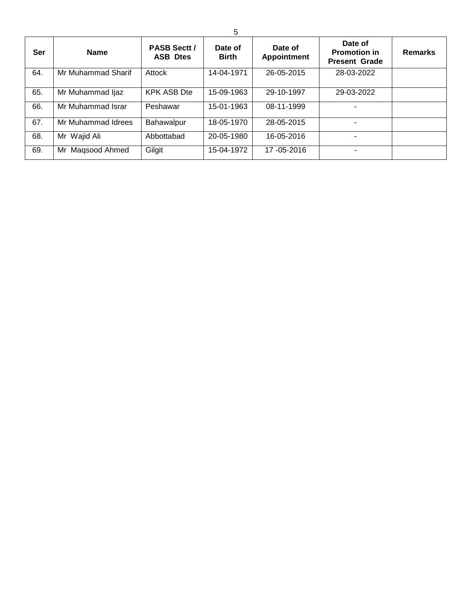| Ser | <b>Name</b>         | <b>PASB Sectt /</b><br><b>ASB Dtes</b> | Date of<br><b>Birth</b> | Date of<br><b>Appointment</b> | Date of<br><b>Promotion in</b><br><b>Present Grade</b> | <b>Remarks</b> |
|-----|---------------------|----------------------------------------|-------------------------|-------------------------------|--------------------------------------------------------|----------------|
| 64. | Mr Muhammad Sharif  | Attock                                 | 14-04-1971              | 26-05-2015                    | 28-03-2022                                             |                |
| 65. | Mr Muhammad Ijaz    | <b>KPK ASB Dte</b>                     | 15-09-1963              | 29-10-1997                    | 29-03-2022                                             |                |
| 66. | Mr Muhammad Israr   | Peshawar                               | 15-01-1963              | 08-11-1999                    |                                                        |                |
| 67. | Mr Muhammad Idrees  | Bahawalpur                             | 18-05-1970              | 28-05-2015                    |                                                        |                |
| 68. | Mr Wajid Ali        | Abbottabad                             | 20-05-1980              | 16-05-2016                    |                                                        |                |
| 69. | Magsood Ahmed<br>Mr | Gilgit                                 | 15-04-1972              | 17 - 05 - 2016                |                                                        |                |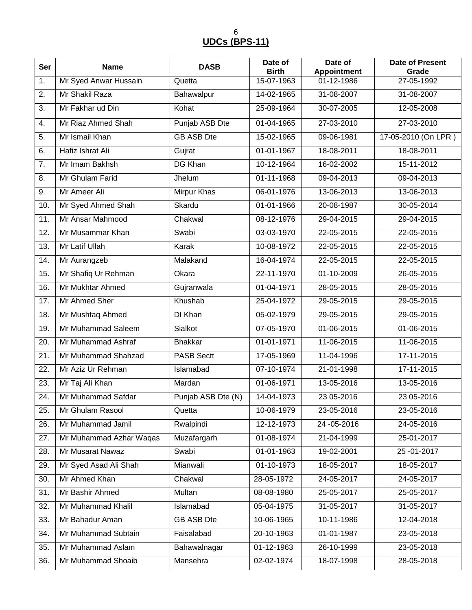6 **UDCs (BPS-11)**

| Ser | <b>Name</b>             | <b>DASB</b>        | Date of<br><b>Birth</b> | Date of<br><b>Appointment</b> | <b>Date of Present</b><br>Grade |
|-----|-------------------------|--------------------|-------------------------|-------------------------------|---------------------------------|
| 1.  | Mr Syed Anwar Hussain   | Quetta             | 15-07-1963              | 01-12-1986                    | 27-05-1992                      |
| 2.  | Mr Shakil Raza          | Bahawalpur         | 14-02-1965              | 31-08-2007                    | 31-08-2007                      |
| 3.  | Mr Fakhar ud Din        | Kohat              | 25-09-1964              | 30-07-2005                    | 12-05-2008                      |
| 4.  | Mr Riaz Ahmed Shah      | Punjab ASB Dte     | 01-04-1965              | 27-03-2010                    | 27-03-2010                      |
| 5.  | Mr Ismail Khan          | <b>GB ASB Dte</b>  | 15-02-1965              | 09-06-1981                    | 17-05-2010 (On LPR)             |
| 6.  | Hafiz Ishrat Ali        | Gujrat             | 01-01-1967              | 18-08-2011                    | 18-08-2011                      |
| 7.  | Mr Imam Bakhsh          | <b>DG Khan</b>     | 10-12-1964              | 16-02-2002                    | 15-11-2012                      |
| 8.  | Mr Ghulam Farid         | Jhelum             | 01-11-1968              | 09-04-2013                    | 09-04-2013                      |
| 9.  | Mr Ameer Ali            | <b>Mirpur Khas</b> | 06-01-1976              | 13-06-2013                    | 13-06-2013                      |
| 10. | Mr Syed Ahmed Shah      | Skardu             | 01-01-1966              | 20-08-1987                    | 30-05-2014                      |
| 11. | Mr Ansar Mahmood        | Chakwal            | 08-12-1976              | 29-04-2015                    | 29-04-2015                      |
| 12. | Mr Musammar Khan        | Swabi              | 03-03-1970              | 22-05-2015                    | 22-05-2015                      |
| 13. | Mr Latif Ullah          | Karak              | 10-08-1972              | 22-05-2015                    | 22-05-2015                      |
| 14. | Mr Aurangzeb            | Malakand           | 16-04-1974              | 22-05-2015                    | 22-05-2015                      |
| 15. | Mr Shafiq Ur Rehman     | Okara              | 22-11-1970              | 01-10-2009                    | 26-05-2015                      |
| 16. | Mr Mukhtar Ahmed        | Gujranwala         | 01-04-1971              | 28-05-2015                    | 28-05-2015                      |
| 17. | Mr Ahmed Sher           | Khushab            | 25-04-1972              | 29-05-2015                    | 29-05-2015                      |
| 18. | Mr Mushtaq Ahmed        | <b>DI Khan</b>     | 05-02-1979              | 29-05-2015                    | 29-05-2015                      |
| 19. | Mr Muhammad Saleem      | Sialkot            | 07-05-1970              | 01-06-2015                    | 01-06-2015                      |
| 20. | Mr Muhammad Ashraf      | <b>Bhakkar</b>     | 01-01-1971              | 11-06-2015                    | 11-06-2015                      |
| 21. | Mr Muhammad Shahzad     | <b>PASB Sectt</b>  | 17-05-1969              | 11-04-1996                    | 17-11-2015                      |
| 22. | Mr Aziz Ur Rehman       | Islamabad          | 07-10-1974              | 21-01-1998                    | 17-11-2015                      |
| 23. | Mr Taj Ali Khan         | Mardan             | 01-06-1971              | 13-05-2016                    | 13-05-2016                      |
| 24. | Mr Muhammad Safdar      | Punjab ASB Dte (N) | 14-04-1973              | 23 05-2016                    | 23 05-2016                      |
| 25. | Mr Ghulam Rasool        | Quetta             | 10-06-1979              | 23-05-2016                    | 23-05-2016                      |
| 26. | Mr Muhammad Jamil       | Rwalpindi          | 12-12-1973              | 24 - 05 - 2016                | 24-05-2016                      |
| 27. | Mr Muhammad Azhar Waqas | Muzafargarh        | 01-08-1974              | 21-04-1999                    | 25-01-2017                      |
| 28. | Mr Musarat Nawaz        | Swabi              | 01-01-1963              | 19-02-2001                    | 25-01-2017                      |
| 29. | Mr Syed Asad Ali Shah   | Mianwali           | 01-10-1973              | 18-05-2017                    | 18-05-2017                      |
| 30. | Mr Ahmed Khan           | Chakwal            | 28-05-1972              | 24-05-2017                    | 24-05-2017                      |
| 31. | Mr Bashir Ahmed         | Multan             | 08-08-1980              | 25-05-2017                    | 25-05-2017                      |
| 32. | Mr Muhammad Khalil      | Islamabad          | 05-04-1975              | $31 - 05 - 2017$              | 31-05-2017                      |
| 33. | Mr Bahadur Aman         | GB ASB Dte         | 10-06-1965              | 10-11-1986                    | 12-04-2018                      |
| 34. | Mr Muhammad Subtain     | Faisalabad         | 20-10-1963              | 01-01-1987                    | 23-05-2018                      |
| 35. | Mr Muhammad Aslam       | Bahawalnagar       | 01-12-1963              | 26-10-1999                    | 23-05-2018                      |
| 36. | Mr Muhammad Shoaib      | Mansehra           | 02-02-1974              | 18-07-1998                    | 28-05-2018                      |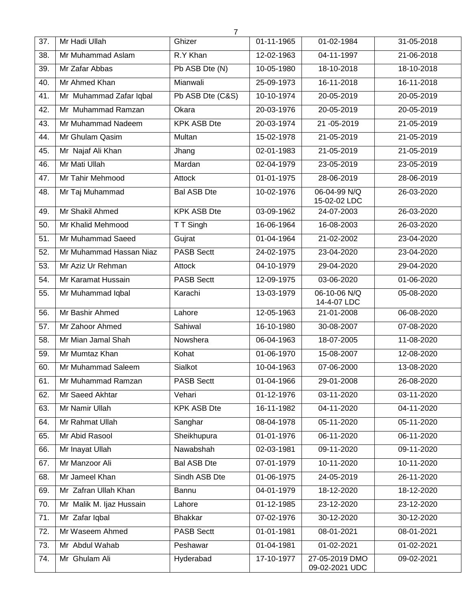|     |                          | 7                  |            |                                  |              |
|-----|--------------------------|--------------------|------------|----------------------------------|--------------|
| 37. | Mr Hadi Ullah            | Ghizer             | 01-11-1965 | 01-02-1984                       | 31-05-2018   |
| 38. | Mr Muhammad Aslam        | R.Y Khan           | 12-02-1963 | 04-11-1997                       | 21-06-2018   |
| 39. | Mr Zafar Abbas           | Pb ASB Dte (N)     | 10-05-1980 | 18-10-2018                       | 18-10-2018   |
| 40. | Mr Ahmed Khan            | Mianwali           | 25-09-1973 | 16-11-2018                       | 16-11-2018   |
| 41. | Mr Muhammad Zafar Iqbal  | Pb ASB Dte (C&S)   | 10-10-1974 | 20-05-2019                       | 20-05-2019   |
| 42. | Mr Muhammad Ramzan       | Okara              | 20-03-1976 | 20-05-2019                       | 20-05-2019   |
| 43. | Mr Muhammad Nadeem       | <b>KPK ASB Dte</b> | 20-03-1974 | 21-05-2019                       | 21-05-2019   |
| 44. | Mr Ghulam Qasim          | Multan             | 15-02-1978 | 21-05-2019                       | 21-05-2019   |
| 45. | Mr Najaf Ali Khan        | Jhang              | 02-01-1983 | 21-05-2019                       | 21-05-2019   |
| 46. | Mr Mati Ullah            | Mardan             | 02-04-1979 | 23-05-2019                       | 23-05-2019   |
| 47. | Mr Tahir Mehmood         | <b>Attock</b>      | 01-01-1975 | 28-06-2019                       | 28-06-2019   |
| 48. | Mr Taj Muhammad          | <b>Bal ASB Dte</b> | 10-02-1976 | 06-04-99 N/Q<br>15-02-02 LDC     | 26-03-2020   |
| 49. | Mr Shakil Ahmed          | <b>KPK ASB Dte</b> | 03-09-1962 | 24-07-2003                       | 26-03-2020   |
| 50. | Mr Khalid Mehmood        | T T Singh          | 16-06-1964 | 16-08-2003                       | 26-03-2020   |
| 51. | Mr Muhammad Saeed        | Gujrat             | 01-04-1964 | 21-02-2002                       | 23-04-2020   |
| 52. | Mr Muhammad Hassan Niaz  | <b>PASB Sectt</b>  | 24-02-1975 | 23-04-2020                       | 23-04-2020   |
| 53. | Mr Aziz Ur Rehman        | Attock             | 04-10-1979 | 29-04-2020                       | 29-04-2020   |
| 54. | Mr Karamat Hussain       | <b>PASB Sectt</b>  | 12-09-1975 | 03-06-2020                       | 01-06-2020   |
| 55. | Mr Muhammad Iqbal        | Karachi            | 13-03-1979 | 06-10-06 N/Q<br>14-4-07 LDC      | 05-08-2020   |
| 56. | Mr Bashir Ahmed          | Lahore             | 12-05-1963 | 21-01-2008                       | 06-08-2020   |
| 57. | Mr Zahoor Ahmed          | Sahiwal            | 16-10-1980 | 30-08-2007                       | 07-08-2020   |
| 58. | Mr Mian Jamal Shah       | Nowshera           | 06-04-1963 | 18-07-2005                       | 11-08-2020   |
| 59. | Mr Mumtaz Khan           | Kohat              | 01-06-1970 | 15-08-2007                       | 12-08-2020   |
| 60. | Mr Muhammad Saleem       | Sialkot            | 10-04-1963 | 07-06-2000                       | 13-08-2020   |
| 61. | Mr Muhammad Ramzan       | <b>PASB Sectt</b>  | 01-04-1966 | 29-01-2008                       | 26-08-2020   |
| 62. | Mr Saeed Akhtar          | Vehari             | 01-12-1976 | 03-11-2020                       | $03-11-2020$ |
| 63. | Mr Namir Ullah           | <b>KPK ASB Dte</b> | 16-11-1982 | 04-11-2020                       | 04-11-2020   |
| 64. | Mr Rahmat Ullah          | Sanghar            | 08-04-1978 | 05-11-2020                       | 05-11-2020   |
| 65. | Mr Abid Rasool           | Sheikhupura        | 01-01-1976 | 06-11-2020                       | 06-11-2020   |
| 66. | Mr Inayat Ullah          | Nawabshah          | 02-03-1981 | 09-11-2020                       | 09-11-2020   |
| 67. | Mr Manzoor Ali           | <b>Bal ASB Dte</b> | 07-01-1979 | 10-11-2020                       | 10-11-2020   |
| 68. | Mr Jameel Khan           | Sindh ASB Dte      | 01-06-1975 | 24-05-2019                       | 26-11-2020   |
| 69. | Mr Zafran Ullah Khan     | Bannu              | 04-01-1979 | 18-12-2020                       | 18-12-2020   |
| 70. | Mr Malik M. Ijaz Hussain | Lahore             | 01-12-1985 | 23-12-2020                       | 23-12-2020   |
| 71. | Mr Zafar Iqbal           | <b>Bhakkar</b>     | 07-02-1976 | 30-12-2020                       | 30-12-2020   |
| 72. | Mr Waseem Ahmed          | <b>PASB Sectt</b>  | 01-01-1981 | 08-01-2021                       | 08-01-2021   |
| 73. | Mr Abdul Wahab           | Peshawar           | 01-04-1981 | 01-02-2021                       | 01-02-2021   |
| 74. | Mr Ghulam Ali            | Hyderabad          | 17-10-1977 | 27-05-2019 DMO<br>09-02-2021 UDC | 09-02-2021   |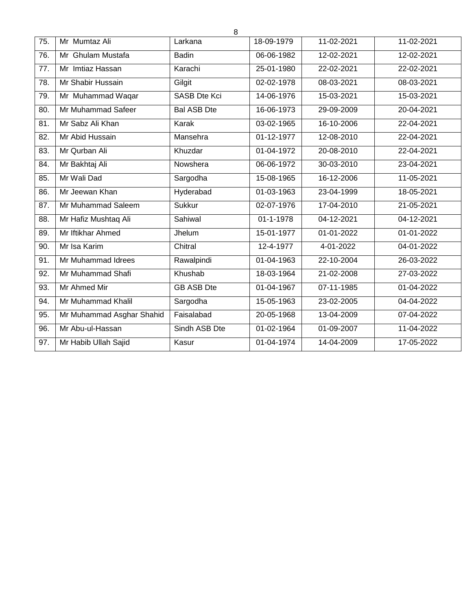| 75. | Mr Mumtaz Ali             | Larkana             | 18-09-1979 | 11-02-2021   | $11 - 02 - 2021$         |
|-----|---------------------------|---------------------|------------|--------------|--------------------------|
| 76. | Mr Ghulam Mustafa         | <b>Badin</b>        | 06-06-1982 | 12-02-2021   | 12-02-2021               |
| 77. | Mr Imtiaz Hassan          | Karachi             | 25-01-1980 | 22-02-2021   | 22-02-2021               |
| 78. | Mr Shabir Hussain         | Gilgit              | 02-02-1978 | 08-03-2021   | 08-03-2021               |
| 79. | Mr Muhammad Waqar         | <b>SASB Dte Kci</b> | 14-06-1976 | $15-03-2021$ | 15-03-2021               |
| 80. | Mr Muhammad Safeer        | <b>Bal ASB Dte</b>  | 16-06-1973 | 29-09-2009   | 20-04-2021               |
| 81. | Mr Sabz Ali Khan          | Karak               | 03-02-1965 | 16-10-2006   | 22-04-2021               |
| 82. | Mr Abid Hussain           | Mansehra            | 01-12-1977 | 12-08-2010   | 22-04-2021               |
| 83. | Mr Qurban Ali             | Khuzdar             | 01-04-1972 | 20-08-2010   | 22-04-2021               |
| 84. | Mr Bakhtaj Ali            | Nowshera            | 06-06-1972 | 30-03-2010   | 23-04-2021               |
| 85. | Mr Wali Dad               | Sargodha            | 15-08-1965 | 16-12-2006   | 11-05-2021               |
| 86. | Mr Jeewan Khan            | Hyderabad           | 01-03-1963 | 23-04-1999   | 18-05-2021               |
| 87. | Mr Muhammad Saleem        | <b>Sukkur</b>       | 02-07-1976 | 17-04-2010   | 21-05-2021               |
| 88. | Mr Hafiz Mushtaq Ali      | Sahiwal             | 01-1-1978  | 04-12-2021   | $\overline{04}$ -12-2021 |
| 89. | Mr Iftikhar Ahmed         | Jhelum              | 15-01-1977 | 01-01-2022   | 01-01-2022               |
| 90. | Mr Isa Karim              | Chitral             | 12-4-1977  | 4-01-2022    | 04-01-2022               |
| 91. | Mr Muhammad Idrees        | Rawalpindi          | 01-04-1963 | 22-10-2004   | 26-03-2022               |
| 92. | Mr Muhammad Shafi         | Khushab             | 18-03-1964 | 21-02-2008   | 27-03-2022               |
| 93. | Mr Ahmed Mir              | <b>GB ASB Dte</b>   | 01-04-1967 | 07-11-1985   | 01-04-2022               |
| 94. | Mr Muhammad Khalil        | Sargodha            | 15-05-1963 | 23-02-2005   | 04-04-2022               |
| 95. | Mr Muhammad Asghar Shahid | Faisalabad          | 20-05-1968 | 13-04-2009   | 07-04-2022               |
| 96. | Mr Abu-ul-Hassan          | Sindh ASB Dte       | 01-02-1964 | 01-09-2007   | 11-04-2022               |
| 97. | Mr Habib Ullah Sajid      | Kasur               | 01-04-1974 | 14-04-2009   | 17-05-2022               |
|     |                           |                     |            |              |                          |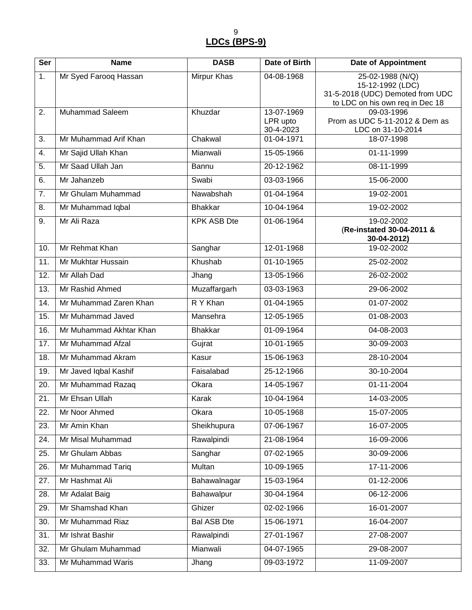9 **LDCs (BPS-9)**

| Ser | <b>Name</b>             | <b>DASB</b>        | Date of Birth                       | <b>Date of Appointment</b>                                                                                  |
|-----|-------------------------|--------------------|-------------------------------------|-------------------------------------------------------------------------------------------------------------|
| 1.  | Mr Syed Farooq Hassan   | Mirpur Khas        | 04-08-1968                          | 25-02-1988 (N/Q)<br>15-12-1992 (LDC)<br>31-5-2018 (UDC) Demoted from UDC<br>to LDC on his own req in Dec 18 |
| 2.  | <b>Muhammad Saleem</b>  | Khuzdar            | 13-07-1969<br>LPR upto<br>30-4-2023 | 09-03-1996<br>Prom as UDC 5-11-2012 & Dem as<br>LDC on 31-10-2014                                           |
| 3.  | Mr Muhammad Arif Khan   | Chakwal            | 01-04-1971                          | 18-07-1998                                                                                                  |
| 4.  | Mr Sajid Ullah Khan     | Mianwali           | 15-05-1966                          | 01-11-1999                                                                                                  |
| 5.  | Mr Saad Ullah Jan       | <b>Bannu</b>       | 20-12-1962                          | 08-11-1999                                                                                                  |
| 6.  | Mr Jahanzeb             | Swabi              | 03-03-1966                          | 15-06-2000                                                                                                  |
| 7.  | Mr Ghulam Muhammad      | Nawabshah          | 01-04-1964                          | 19-02-2001                                                                                                  |
| 8.  | Mr Muhammad Iqbal       | <b>Bhakkar</b>     | 10-04-1964                          | 19-02-2002                                                                                                  |
| 9.  | Mr Ali Raza             | <b>KPK ASB Dte</b> | 01-06-1964                          | 19-02-2002<br>(Re-instated 30-04-2011 &<br>30-04-2012)                                                      |
| 10. | Mr Rehmat Khan          | Sanghar            | 12-01-1968                          | 19-02-2002                                                                                                  |
| 11. | Mr Mukhtar Hussain      | Khushab            | 01-10-1965                          | 25-02-2002                                                                                                  |
| 12. | Mr Allah Dad            | Jhang              | 13-05-1966                          | 26-02-2002                                                                                                  |
| 13. | Mr Rashid Ahmed         | Muzaffargarh       | 03-03-1963                          | 29-06-2002                                                                                                  |
| 14. | Mr Muhammad Zaren Khan  | R Y Khan           | 01-04-1965                          | 01-07-2002                                                                                                  |
| 15. | Mr Muhammad Javed       | Mansehra           | 12-05-1965                          | 01-08-2003                                                                                                  |
| 16. | Mr Muhammad Akhtar Khan | <b>Bhakkar</b>     | 01-09-1964                          | 04-08-2003                                                                                                  |
| 17. | Mr Muhammad Afzal       | Gujrat             | 10-01-1965                          | 30-09-2003                                                                                                  |
| 18. | Mr Muhammad Akram       | Kasur              | 15-06-1963                          | 28-10-2004                                                                                                  |
| 19. | Mr Javed Iqbal Kashif   | Faisalabad         | 25-12-1966                          | 30-10-2004                                                                                                  |
| 20. | Mr Muhammad Razaq       | Okara              | 14-05-1967                          | 01-11-2004                                                                                                  |
| 21. | Mr Ehsan Ullah          | Karak              | 10-04-1964                          | 14-03-2005                                                                                                  |
| 22. | Mr Noor Ahmed           | Okara              | 10-05-1968                          | 15-07-2005                                                                                                  |
| 23. | Mr Amin Khan            | Sheikhupura        | 07-06-1967                          | 16-07-2005                                                                                                  |
| 24. | Mr Misal Muhammad       | Rawalpindi         | 21-08-1964                          | 16-09-2006                                                                                                  |
| 25. | Mr Ghulam Abbas         | Sanghar            | 07-02-1965                          | 30-09-2006                                                                                                  |
| 26. | Mr Muhammad Tariq       | Multan             | 10-09-1965                          | 17-11-2006                                                                                                  |
| 27. | Mr Hashmat Ali          | Bahawalnagar       | 15-03-1964                          | 01-12-2006                                                                                                  |
| 28. | Mr Adalat Baig          | Bahawalpur         | 30-04-1964                          | 06-12-2006                                                                                                  |
| 29. | Mr Shamshad Khan        | Ghizer             | 02-02-1966                          | 16-01-2007                                                                                                  |
| 30. | Mr Muhammad Riaz        | <b>Bal ASB Dte</b> | 15-06-1971                          | 16-04-2007                                                                                                  |
| 31. | Mr Ishrat Bashir        | Rawalpindi         | 27-01-1967                          | 27-08-2007                                                                                                  |
| 32. | Mr Ghulam Muhammad      | Mianwali           | 04-07-1965                          | 29-08-2007                                                                                                  |
| 33. | Mr Muhammad Waris       | Jhang              | 09-03-1972                          | 11-09-2007                                                                                                  |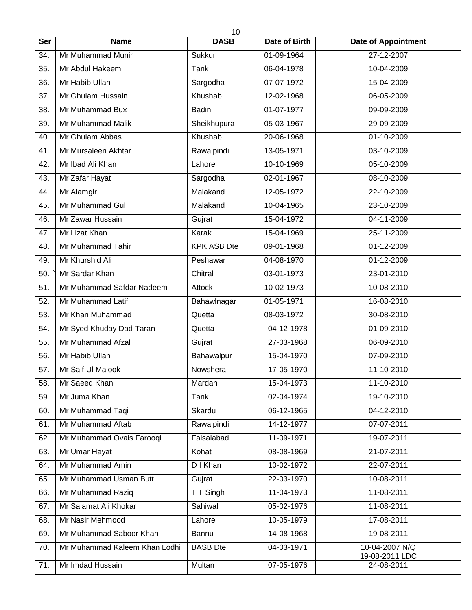|            | 10                            |                    |               |                              |  |  |  |  |  |
|------------|-------------------------------|--------------------|---------------|------------------------------|--|--|--|--|--|
| <b>Ser</b> | <b>Name</b>                   | <b>DASB</b>        | Date of Birth | <b>Date of Appointment</b>   |  |  |  |  |  |
| 34.        | Mr Muhammad Munir             | Sukkur             | 01-09-1964    | 27-12-2007                   |  |  |  |  |  |
| 35.        | Mr Abdul Hakeem               | Tank               | 06-04-1978    | 10-04-2009                   |  |  |  |  |  |
| 36.        | Mr Habib Ullah                | Sargodha           | 07-07-1972    | 15-04-2009                   |  |  |  |  |  |
| 37.        | Mr Ghulam Hussain             | Khushab            | 12-02-1968    | 06-05-2009                   |  |  |  |  |  |
| 38.        | Mr Muhammad Bux               | <b>Badin</b>       | 01-07-1977    | 09-09-2009                   |  |  |  |  |  |
| 39.        | Mr Muhammad Malik             | Sheikhupura        | 05-03-1967    | 29-09-2009                   |  |  |  |  |  |
| 40.        | Mr Ghulam Abbas               | Khushab            | 20-06-1968    | 01-10-2009                   |  |  |  |  |  |
| 41.        | Mr Mursaleen Akhtar           | Rawalpindi         | 13-05-1971    | 03-10-2009                   |  |  |  |  |  |
| 42.        | Mr Ibad Ali Khan              | Lahore             | 10-10-1969    | 05-10-2009                   |  |  |  |  |  |
| 43.        | Mr Zafar Hayat                | Sargodha           | 02-01-1967    | 08-10-2009                   |  |  |  |  |  |
| 44.        | Mr Alamgir                    | Malakand           | 12-05-1972    | 22-10-2009                   |  |  |  |  |  |
| 45.        | Mr Muhammad Gul               | Malakand           | 10-04-1965    | 23-10-2009                   |  |  |  |  |  |
| 46.        | Mr Zawar Hussain              | Gujrat             | 15-04-1972    | 04-11-2009                   |  |  |  |  |  |
| 47.        | Mr Lizat Khan                 | Karak              | 15-04-1969    | 25-11-2009                   |  |  |  |  |  |
| 48.        | Mr Muhammad Tahir             | <b>KPK ASB Dte</b> | 09-01-1968    | 01-12-2009                   |  |  |  |  |  |
| 49.        | Mr Khurshid Ali               | Peshawar           | 04-08-1970    | 01-12-2009                   |  |  |  |  |  |
| 50.        | Mr Sardar Khan                | Chitral            | 03-01-1973    | 23-01-2010                   |  |  |  |  |  |
| 51.        | Mr Muhammad Safdar Nadeem     | Attock             | 10-02-1973    | 10-08-2010                   |  |  |  |  |  |
| 52.        | Mr Muhammad Latif             | Bahawlnagar        | 01-05-1971    | 16-08-2010                   |  |  |  |  |  |
| 53.        | Mr Khan Muhammad              | Quetta             | 08-03-1972    | 30-08-2010                   |  |  |  |  |  |
| 54.        | Mr Syed Khuday Dad Taran      | Quetta             | 04-12-1978    | $01 - 09 - 2010$             |  |  |  |  |  |
| 55.        | Mr Muhammad Afzal             | Gujrat             | 27-03-1968    | 06-09-2010                   |  |  |  |  |  |
| 56.        | Mr Habib Ullah                | Bahawalpur         | 15-04-1970    | 07-09-2010                   |  |  |  |  |  |
| 57.        | Mr Saif UI Malook             | Nowshera           | 17-05-1970    | 11-10-2010                   |  |  |  |  |  |
| 58.        | Mr Saeed Khan                 | Mardan             | 15-04-1973    | 11-10-2010                   |  |  |  |  |  |
| 59.        | Mr Juma Khan                  | Tank               | 02-04-1974    | 19-10-2010                   |  |  |  |  |  |
| 60.        | Mr Muhammad Taqi              | Skardu             | 06-12-1965    | 04-12-2010                   |  |  |  |  |  |
| 61.        | Mr Muhammad Aftab             | Rawalpindi         | 14-12-1977    | 07-07-2011                   |  |  |  |  |  |
| 62.        | Mr Muhammad Ovais Farooqi     | Faisalabad         | 11-09-1971    | 19-07-2011                   |  |  |  |  |  |
| 63.        | Mr Umar Hayat                 | Kohat              | 08-08-1969    | 21-07-2011                   |  |  |  |  |  |
| 64.        | Mr Muhammad Amin              | D I Khan           | 10-02-1972    | 22-07-2011                   |  |  |  |  |  |
| 65.        | Mr Muhammad Usman Butt        | Gujrat             | 22-03-1970    | 10-08-2011                   |  |  |  |  |  |
| 66.        | Mr Muhammad Raziq             | T T Singh          | 11-04-1973    | 11-08-2011                   |  |  |  |  |  |
| 67.        | Mr Salamat Ali Khokar         | Sahiwal            | 05-02-1976    | 11-08-2011                   |  |  |  |  |  |
| 68.        | Mr Nasir Mehmood              | Lahore             | 10-05-1979    | 17-08-2011                   |  |  |  |  |  |
| 69.        | Mr Muhammad Saboor Khan       | Bannu              | 14-08-1968    | 19-08-2011                   |  |  |  |  |  |
| 70.        | Mr Muhammad Kaleem Khan Lodhi | <b>BASB</b> Dte    | 04-03-1971    | 10-04-2007 N/Q               |  |  |  |  |  |
| 71.        | Mr Imdad Hussain              | Multan             | 07-05-1976    | 19-08-2011 LDC<br>24-08-2011 |  |  |  |  |  |
|            |                               |                    |               |                              |  |  |  |  |  |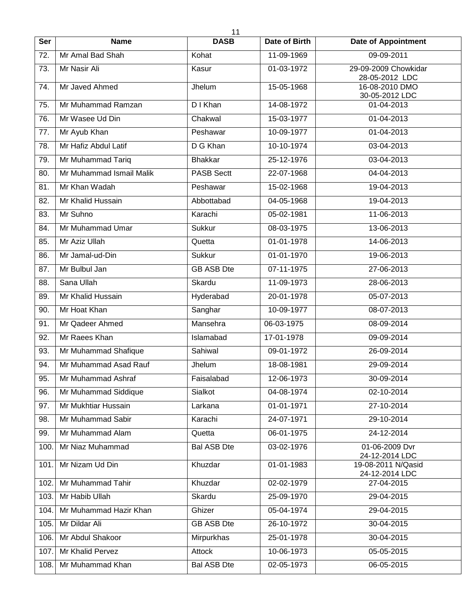|            | 11                       |                    |                      |                                        |  |  |  |  |
|------------|--------------------------|--------------------|----------------------|----------------------------------------|--|--|--|--|
| <b>Ser</b> | <b>Name</b>              | <b>DASB</b>        | <b>Date of Birth</b> | <b>Date of Appointment</b>             |  |  |  |  |
| 72.        | Mr Amal Bad Shah         | Kohat              | 11-09-1969           | 09-09-2011                             |  |  |  |  |
| 73.        | Mr Nasir Ali             | Kasur              | 01-03-1972           | 29-09-2009 Chowkidar<br>28-05-2012 LDC |  |  |  |  |
| 74.        | Mr Javed Ahmed           | Jhelum             | 15-05-1968           | 16-08-2010 DMO<br>30-05-2012 LDC       |  |  |  |  |
| 75.        | Mr Muhammad Ramzan       | D I Khan           | 14-08-1972           | 01-04-2013                             |  |  |  |  |
| 76.        | Mr Wasee Ud Din          | Chakwal            | 15-03-1977           | 01-04-2013                             |  |  |  |  |
| 77.        | Mr Ayub Khan             | Peshawar           | 10-09-1977           | 01-04-2013                             |  |  |  |  |
| 78.        | Mr Hafiz Abdul Latif     | D G Khan           | 10-10-1974           | 03-04-2013                             |  |  |  |  |
| 79.        | Mr Muhammad Tariq        | <b>Bhakkar</b>     | 25-12-1976           | 03-04-2013                             |  |  |  |  |
| 80.        | Mr Muhammad Ismail Malik | <b>PASB Sectt</b>  | 22-07-1968           | 04-04-2013                             |  |  |  |  |
| 81.        | Mr Khan Wadah            | Peshawar           | 15-02-1968           | 19-04-2013                             |  |  |  |  |
| 82.        | Mr Khalid Hussain        | Abbottabad         | 04-05-1968           | 19-04-2013                             |  |  |  |  |
| 83.        | Mr Suhno                 | Karachi            | 05-02-1981           | 11-06-2013                             |  |  |  |  |
| 84.        | Mr Muhammad Umar         | Sukkur             | 08-03-1975           | 13-06-2013                             |  |  |  |  |
| 85.        | Mr Aziz Ullah            | Quetta             | 01-01-1978           | 14-06-2013                             |  |  |  |  |
| 86.        | Mr Jamal-ud-Din          | Sukkur             | 01-01-1970           | 19-06-2013                             |  |  |  |  |
| 87.        | Mr Bulbul Jan            | <b>GB ASB Dte</b>  | 07-11-1975           | 27-06-2013                             |  |  |  |  |
| 88.        | Sana Ullah               | Skardu             | 11-09-1973           | 28-06-2013                             |  |  |  |  |
| 89.        | Mr Khalid Hussain        | Hyderabad          | 20-01-1978           | 05-07-2013                             |  |  |  |  |
| 90.        | Mr Hoat Khan             | Sanghar            | 10-09-1977           | 08-07-2013                             |  |  |  |  |
| 91.        | Mr Qadeer Ahmed          | Mansehra           | 06-03-1975           | 08-09-2014                             |  |  |  |  |
| 92.        | Mr Raees Khan            | Islamabad          | 17-01-1978           | 09-09-2014                             |  |  |  |  |
| 93.        | Mr Muhammad Shafique     | Sahiwal            | 09-01-1972           | 26-09-2014                             |  |  |  |  |
| 94.        | Mr Muhammad Asad Rauf    | Jhelum             | 18-08-1981           | 29-09-2014                             |  |  |  |  |
| 95.        | Mr Muhammad Ashraf       | Faisalabad         | 12-06-1973           | 30-09-2014                             |  |  |  |  |
| 96.        | Mr Muhammad Siddique     | Sialkot            | 04-08-1974           | 02-10-2014                             |  |  |  |  |
| 97.        | Mr Mukhtiar Hussain      | Larkana            | 01-01-1971           | 27-10-2014                             |  |  |  |  |
| 98.        | Mr Muhammad Sabir        | Karachi            | 24-07-1971           | 29-10-2014                             |  |  |  |  |
| 99.        | Mr Muhammad Alam         | Quetta             | 06-01-1975           | 24-12-2014                             |  |  |  |  |
| 100        | Mr Niaz Muhammad         | <b>Bal ASB Dte</b> | 03-02-1976           | 01-06-2009 Dvr<br>24-12-2014 LDC       |  |  |  |  |
| 101.       | Mr Nizam Ud Din          | Khuzdar            | 01-01-1983           | 19-08-2011 N/Qasid<br>24-12-2014 LDC   |  |  |  |  |
| 102.       | Mr Muhammad Tahir        | Khuzdar            | 02-02-1979           | 27-04-2015                             |  |  |  |  |
| 103.       | Mr Habib Ullah           | Skardu             | 25-09-1970           | 29-04-2015                             |  |  |  |  |
| 104.       | Mr Muhammad Hazir Khan   | Ghizer             | 05-04-1974           | 29-04-2015                             |  |  |  |  |
| 105.       | Mr Dildar Ali            | <b>GB ASB Dte</b>  | 26-10-1972           | 30-04-2015                             |  |  |  |  |
| 106.       | Mr Abdul Shakoor         | Mirpurkhas         | 25-01-1978           | 30-04-2015                             |  |  |  |  |
| 107.       | Mr Khalid Pervez         | Attock             | 10-06-1973           | 05-05-2015                             |  |  |  |  |
| 108.       | Mr Muhammad Khan         | <b>Bal ASB Dte</b> | 02-05-1973           | 06-05-2015                             |  |  |  |  |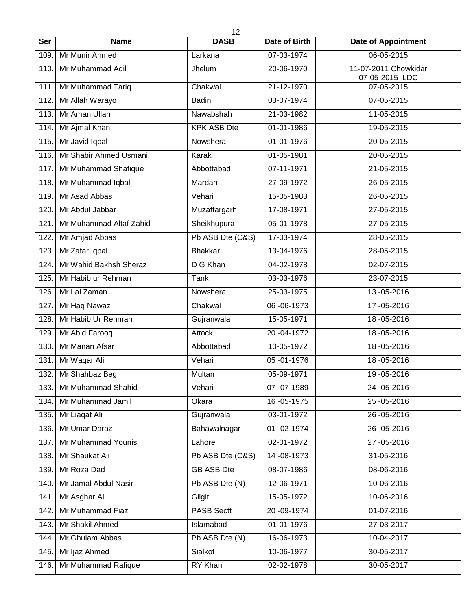|      | 12                      |                    |                             |                                        |  |  |  |
|------|-------------------------|--------------------|-----------------------------|----------------------------------------|--|--|--|
| Ser  | <b>Name</b>             | <b>DASB</b>        | Date of Birth               | <b>Date of Appointment</b>             |  |  |  |
| 109. | Mr Munir Ahmed          | Larkana            | 07-03-1974                  | 06-05-2015                             |  |  |  |
| 110. | Mr Muhammad Adil        | Jhelum             | 20-06-1970                  | 11-07-2011 Chowkidar<br>07-05-2015 LDC |  |  |  |
| 111. | Mr Muhammad Tariq       | Chakwal            | 21-12-1970                  | 07-05-2015                             |  |  |  |
| 112. | Mr Allah Warayo         | <b>Badin</b>       | 03-07-1974                  | 07-05-2015                             |  |  |  |
| 113. | Mr Aman Ullah           | Nawabshah          | 21-03-1982                  | 11-05-2015                             |  |  |  |
| 114. | Mr Ajmal Khan           | <b>KPK ASB Dte</b> | 01-01-1986                  | 19-05-2015                             |  |  |  |
| 115. | Mr Javid Iqbal          | Nowshera           | 01-01-1976                  | 20-05-2015                             |  |  |  |
| 116. | Mr Shabir Ahmed Usmani  | Karak              | 01-05-1981                  | 20-05-2015                             |  |  |  |
| 117. | Mr Muhammad Shafique    | Abbottabad         | 07-11-1971                  | 21-05-2015                             |  |  |  |
| 118. | Mr Muhammad Iqbal       | Mardan             | 27-09-1972                  | 26-05-2015                             |  |  |  |
| 119. | Mr Asad Abbas           | Vehari             | 15-05-1983                  | 26-05-2015                             |  |  |  |
| 120. | Mr Abdul Jabbar         | Muzaffargarh       | 17-08-1971                  | 27-05-2015                             |  |  |  |
| 121. | Mr Muhammad Altaf Zahid | Sheikhupura        | 05-01-1978                  | 27-05-2015                             |  |  |  |
| 122. | Mr Amjad Abbas          | Pb ASB Dte (C&S)   | 17-03-1974                  | 28-05-2015                             |  |  |  |
| 123. | Mr Zafar Iqbal          | <b>Bhakkar</b>     | 13-04-1976                  | 28-05-2015                             |  |  |  |
| 124. | Mr Wahid Bakhsh Sheraz  | D G Khan           | 04-02-1978                  | 02-07-2015                             |  |  |  |
| 125. | Mr Habib ur Rehman      | Tank               | 03-03-1976                  | 23-07-2015                             |  |  |  |
| 126. | Mr Lal Zaman            | Nowshera           | 25-03-1975                  | 13-05-2016                             |  |  |  |
| 127. | Mr Haq Nawaz            | Chakwal            | 06-06-1973                  | 17-05-2016                             |  |  |  |
| 128. | Mr Habib Ur Rehman      | Gujranwala         | 15-05-1971                  | 18-05-2016                             |  |  |  |
| 129. | Mr Abid Farooq          | Attock             | 20 - 04 - 1972              | 18-05-2016                             |  |  |  |
| 130. | Mr Manan Afsar          | Abbottabad         | 10-05-1972                  | 18-05-2016                             |  |  |  |
| 131. | Mr Waqar Ali            | Vehari             | 05 - 01 - 1976              | 18 - 05 - 2016                         |  |  |  |
| 132. | Mr Shahbaz Beg          | Multan             | 05-09-1971                  | 19 - 05 - 2016                         |  |  |  |
| 133. | Mr Muhammad Shahid      | Vehari             | 07-07-1989                  | 24 - 05 - 2016                         |  |  |  |
| 134. | Mr Muhammad Jamil       | Okara              | $\overline{16} - 05 - 1975$ | 25-05-2016                             |  |  |  |
| 135. | Mr Liagat Ali           | Gujranwala         | 03-01-1972                  | 26-05-2016                             |  |  |  |
| 136. | Mr Umar Daraz           | Bahawalnagar       | 01-02-1974                  | 26-05-2016                             |  |  |  |
| 137. | Mr Muhammad Younis      | Lahore             | 02-01-1972                  | 27 - 05 - 2016                         |  |  |  |
| 138. | Mr Shaukat Ali          | Pb ASB Dte (C&S)   | 14 - 08 - 1973              | 31-05-2016                             |  |  |  |
| 139. | Mr Roza Dad             | <b>GB ASB Dte</b>  | 08-07-1986                  | 08-06-2016                             |  |  |  |
| 140. | Mr Jamal Abdul Nasir    | Pb ASB Dte (N)     | 12-06-1971                  | 10-06-2016                             |  |  |  |
| 141. | Mr Asghar Ali           | Gilgit             | 15-05-1972                  | 10-06-2016                             |  |  |  |
| 142. | Mr Muhammad Fiaz        | <b>PASB Sectt</b>  | 20 - 09 - 1974              | 01-07-2016                             |  |  |  |
| 143. | Mr Shakil Ahmed         | Islamabad          | 01-01-1976                  | 27-03-2017                             |  |  |  |
| 144. | Mr Ghulam Abbas         | Pb ASB Dte (N)     | 16-06-1973                  | 10-04-2017                             |  |  |  |
| 145. | Mr Ijaz Ahmed           | Sialkot            | 10-06-1977                  | 30-05-2017                             |  |  |  |
| 146. | Mr Muhammad Rafique     | RY Khan            | 02-02-1978                  | 30-05-2017                             |  |  |  |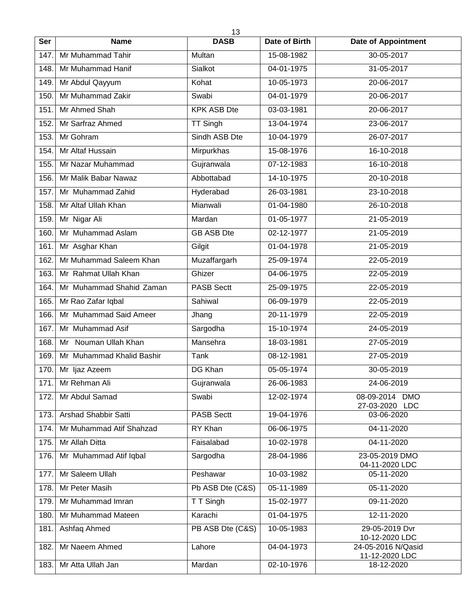|      | 13                          |                    |               |                                  |  |  |  |
|------|-----------------------------|--------------------|---------------|----------------------------------|--|--|--|
| Ser  | <b>Name</b>                 | <b>DASB</b>        | Date of Birth | <b>Date of Appointment</b>       |  |  |  |
| 147. | Mr Muhammad Tahir           | Multan             | 15-08-1982    | 30-05-2017                       |  |  |  |
| 148. | Mr Muhammad Hanif           | Sialkot            | 04-01-1975    | 31-05-2017                       |  |  |  |
| 149. | Mr Abdul Qayyum             | Kohat              | 10-05-1973    | 20-06-2017                       |  |  |  |
| 150  | Mr Muhammad Zakir           | Swabi              | 04-01-1979    | 20-06-2017                       |  |  |  |
| 151. | Mr Ahmed Shah               | <b>KPK ASB Dte</b> | 03-03-1981    | 20-06-2017                       |  |  |  |
| 152. | Mr Sarfraz Ahmed            | <b>TT Singh</b>    | 13-04-1974    | 23-06-2017                       |  |  |  |
| 153. | Mr Gohram                   | Sindh ASB Dte      | 10-04-1979    | 26-07-2017                       |  |  |  |
| 154. | Mr Altaf Hussain            | Mirpurkhas         | 15-08-1976    | 16-10-2018                       |  |  |  |
| 155. | Mr Nazar Muhammad           | Gujranwala         | 07-12-1983    | 16-10-2018                       |  |  |  |
| 156. | Mr Malik Babar Nawaz        | Abbottabad         | 14-10-1975    | 20-10-2018                       |  |  |  |
| 157. | Mr Muhammad Zahid           | Hyderabad          | 26-03-1981    | 23-10-2018                       |  |  |  |
| 158. | Mr Altaf Ullah Khan         | Mianwali           | 01-04-1980    | 26-10-2018                       |  |  |  |
| 159. | Mr Nigar Ali                | Mardan             | 01-05-1977    | 21-05-2019                       |  |  |  |
| 160. | Mr Muhammad Aslam           | <b>GB ASB Dte</b>  | 02-12-1977    | 21-05-2019                       |  |  |  |
| 161. | Mr Asghar Khan              | Gilgit             | 01-04-1978    | 21-05-2019                       |  |  |  |
| 162. | Mr Muhammad Saleem Khan     | Muzaffargarh       | 25-09-1974    | 22-05-2019                       |  |  |  |
| 163. | Mr Rahmat Ullah Khan        | Ghizer             | 04-06-1975    | 22-05-2019                       |  |  |  |
| 164. | Mr Muhammad Shahid Zaman    | <b>PASB Sectt</b>  | 25-09-1975    | 22-05-2019                       |  |  |  |
| 165. | Mr Rao Zafar Iqbal          | Sahiwal            | 06-09-1979    | 22-05-2019                       |  |  |  |
| 166. | Mr Muhammad Said Ameer      | Jhang              | 20-11-1979    | 22-05-2019                       |  |  |  |
| 167. | Mr Muhammad Asif            | Sargodha           | 15-10-1974    | 24-05-2019                       |  |  |  |
| 168. | Mr Nouman Ullah Khan        | Mansehra           | 18-03-1981    | 27-05-2019                       |  |  |  |
| 169. | Mr Muhammad Khalid Bashir   | Tank               | 08-12-1981    | 27-05-2019                       |  |  |  |
| 170. | Mr Ijaz Azeem               | DG Khan            | 05-05-1974    | 30-05-2019                       |  |  |  |
| 171. | Mr Rehman Ali               | Gujranwala         | 26-06-1983    | 24-06-2019                       |  |  |  |
| 172. | Mr Abdul Samad              | Swabi              | 12-02-1974    | 08-09-2014 DMO                   |  |  |  |
| 173. | <b>Arshad Shabbir Satti</b> | <b>PASB Sectt</b>  | 19-04-1976    | 27-03-2020 LDC<br>03-06-2020     |  |  |  |
| 174. | Mr Muhammad Atif Shahzad    | RY Khan            | 06-06-1975    | 04-11-2020                       |  |  |  |
| 175. | Mr Allah Ditta              | Faisalabad         | 10-02-1978    | 04-11-2020                       |  |  |  |
| 176. | Mr Muhammad Atif Iqbal      | Sargodha           | 28-04-1986    | 23-05-2019 DMO                   |  |  |  |
|      |                             |                    |               | 04-11-2020 LDC                   |  |  |  |
| 177. | Mr Saleem Ullah             | Peshawar           | 10-03-1982    | 05-11-2020                       |  |  |  |
| 178. | Mr Peter Masih              | Pb ASB Dte (C&S)   | 05-11-1989    | 05-11-2020                       |  |  |  |
| 179. | Mr Muhammad Imran           | T T Singh          | 15-02-1977    | 09-11-2020                       |  |  |  |
| 180. | Mr Muhammad Mateen          | Karachi            | 01-04-1975    | 12-11-2020                       |  |  |  |
| 181. | Ashfaq Ahmed                | PB ASB Dte (C&S)   | 10-05-1983    | 29-05-2019 Dvr<br>10-12-2020 LDC |  |  |  |
| 182. | Mr Naeem Ahmed              | Lahore             | 04-04-1973    | 24-05-2016 N/Qasid               |  |  |  |
| 183. | Mr Atta Ullah Jan           | Mardan             | 02-10-1976    | 11-12-2020 LDC<br>18-12-2020     |  |  |  |
|      |                             |                    |               |                                  |  |  |  |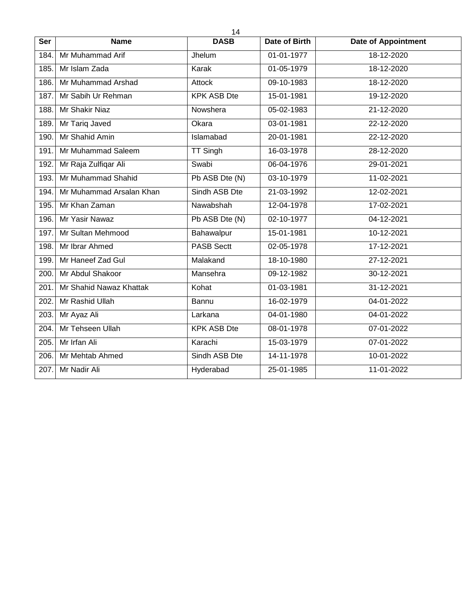| Ser  | <b>Name</b>              | 14<br><b>DASB</b>  | <b>Date of Birth</b> | <b>Date of Appointment</b> |
|------|--------------------------|--------------------|----------------------|----------------------------|
| 184. | Mr Muhammad Arif         | Jhelum             | 01-01-1977           | 18-12-2020                 |
| 185. | Mr Islam Zada            | Karak              | 01-05-1979           | 18-12-2020                 |
| 186. | Mr Muhammad Arshad       | Attock             | 09-10-1983           | 18-12-2020                 |
| 187. | Mr Sabih Ur Rehman       | <b>KPK ASB Dte</b> | 15-01-1981           | 19-12-2020                 |
| 188. | Mr Shakir Niaz           | Nowshera           | 05-02-1983           | 21-12-2020                 |
| 189. | Mr Tariq Javed           | Okara              | 03-01-1981           | 22-12-2020                 |
| 190. | Mr Shahid Amin           | Islamabad          | 20-01-1981           | 22-12-2020                 |
| 191. | Mr Muhammad Saleem       | <b>TT Singh</b>    | 16-03-1978           | 28-12-2020                 |
| 192. | Mr Raja Zulfiqar Ali     | Swabi              | 06-04-1976           | 29-01-2021                 |
| 193. | Mr Muhammad Shahid       | Pb ASB Dte (N)     | 03-10-1979           | 11-02-2021                 |
| 194. | Mr Muhammad Arsalan Khan | Sindh ASB Dte      | 21-03-1992           | 12-02-2021                 |
| 195. | Mr Khan Zaman            | Nawabshah          | 12-04-1978           | 17-02-2021                 |
| 196. | Mr Yasir Nawaz           | Pb ASB Dte (N)     | 02-10-1977           | 04-12-2021                 |
| 197. | Mr Sultan Mehmood        | Bahawalpur         | 15-01-1981           | 10-12-2021                 |
| 198. | Mr Ibrar Ahmed           | <b>PASB Sectt</b>  | 02-05-1978           | 17-12-2021                 |
| 199. | Mr Haneef Zad Gul        | Malakand           | 18-10-1980           | 27-12-2021                 |
| 200. | Mr Abdul Shakoor         | Mansehra           | 09-12-1982           | 30-12-2021                 |
| 201. | Mr Shahid Nawaz Khattak  | Kohat              | 01-03-1981           | 31-12-2021                 |
| 202. | Mr Rashid Ullah          | Bannu              | 16-02-1979           | 04-01-2022                 |
| 203. | Mr Ayaz Ali              | Larkana            | 04-01-1980           | 04-01-2022                 |
| 204. | Mr Tehseen Ullah         | <b>KPK ASB Dte</b> | 08-01-1978           | 07-01-2022                 |
| 205. | Mr Irfan Ali             | Karachi            | 15-03-1979           | 07-01-2022                 |
| 206. | Mr Mehtab Ahmed          | Sindh ASB Dte      | 14-11-1978           | 10-01-2022                 |
| 207. | Mr Nadir Ali             | Hyderabad          | 25-01-1985           | 11-01-2022                 |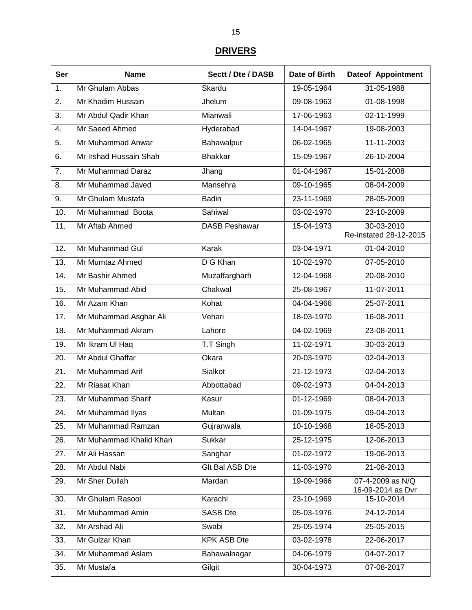### **DRIVERS**

| Ser              | <b>Name</b>             | Sectt / Dte / DASB   | Date of Birth    | <b>Dateof Appointment</b>             |
|------------------|-------------------------|----------------------|------------------|---------------------------------------|
| $\overline{1}$ . | Mr Ghulam Abbas         | Skardu               | 19-05-1964       | 31-05-1988                            |
| $\overline{2}$ . | Mr Khadim Hussain       | Jhelum               | 09-08-1963       | 01-08-1998                            |
| 3.               | Mr Abdul Qadir Khan     | Mianwali             | 17-06-1963       | 02-11-1999                            |
| 4.               | Mr Saeed Ahmed          | Hyderabad            | $14 - 04 - 1967$ | 19-08-2003                            |
| 5.               | Mr Muhammad Anwar       | Bahawalpur           | 06-02-1965       | 11-11-2003                            |
| 6.               | Mr Irshad Hussain Shah  | <b>Bhakkar</b>       | 15-09-1967       | 26-10-2004                            |
| 7.               | Mr Muhammad Daraz       | Jhang                | 01-04-1967       | 15-01-2008                            |
| 8.               | Mr Muhammad Javed       | Mansehra             | 09-10-1965       | 08-04-2009                            |
| 9.               | Mr Ghulam Mustafa       | <b>Badin</b>         | 23-11-1969       | 28-05-2009                            |
| 10.              | Mr Muhammad Boota       | Sahiwal              | 03-02-1970       | 23-10-2009                            |
| 11.              | Mr Aftab Ahmed          | <b>DASB Peshawar</b> | 15-04-1973       | $30 - 03 - 2010$                      |
|                  |                         |                      |                  | Re-instated 28-12-2015                |
| 12.              | Mr Muhammad Gul         | Karak                | 03-04-1971       | 01-04-2010                            |
| 13.              | Mr Mumtaz Ahmed         | D G Khan             | 10-02-1970       | 07-05-2010                            |
| 14.              | Mr Bashir Ahmed         | Muzaffargharh        | 12-04-1968       | 20-08-2010                            |
| 15.              | Mr Muhammad Abid        | Chakwal              | 25-08-1967       | 11-07-2011                            |
| 16.              | Mr Azam Khan            | Kohat                | 04-04-1966       | 25-07-2011                            |
| 17.              | Mr Muhammad Asghar Ali  | Vehari               | 18-03-1970       | 16-08-2011                            |
| 18.              | Mr Muhammad Akram       | Lahore               | 04-02-1969       | 23-08-2011                            |
| 19.              | Mr Ikram UI Haq         | T.T Singh            | 11-02-1971       | 30-03-2013                            |
| 20.              | Mr Abdul Ghaffar        | Okara                | 20-03-1970       | 02-04-2013                            |
| 21.              | Mr Muhammad Arif        | Sialkot              | 21-12-1973       | 02-04-2013                            |
| 22.              | Mr Riasat Khan          | Abbottabad           | 09-02-1973       | 04-04-2013                            |
| 23.              | Mr Muhammad Sharif      | Kasur                | 01-12-1969       | 08-04-2013                            |
| 24.              | Mr Muhammad Ilyas       | Multan               | 01-09-1975       | 09-04-2013                            |
| 25.              | Mr Muhammad Ramzan      | Gujranwala           | 10-10-1968       | 16-05-2013                            |
| 26.              | Mr Muhammad Khalid Khan | Sukkar               | 25-12-1975       | 12-06-2013                            |
| 27.              | Mr Ali Hassan           | Sanghar              | 01-02-1972       | 19-06-2013                            |
| 28.              | Mr Abdul Nabi           | Glt Bal ASB Dte      | 11-03-1970       | 21-08-2013                            |
| 29.              | Mr Sher Dullah          | Mardan               | 19-09-1966       | 07-4-2009 as N/Q<br>16-09-2014 as Dvr |
| 30.              | Mr Ghulam Rasool        | Karachi              | 23-10-1969       | 15-10-2014                            |
| 31.              | Mr Muhammad Amin        | <b>SASB Dte</b>      | 05-03-1976       | 24-12-2014                            |
| 32.              | Mr Arshad Ali           | Swabi                | 25-05-1974       | 25-05-2015                            |
| 33.              | Mr Gulzar Khan          | <b>KPK ASB Dte</b>   | 03-02-1978       | 22-06-2017                            |
| 34.              | Mr Muhammad Aslam       | Bahawalnagar         | 04-06-1979       | 04-07-2017                            |
| 35.              | Mr Mustafa              | Gilgit               | 30-04-1973       | 07-08-2017                            |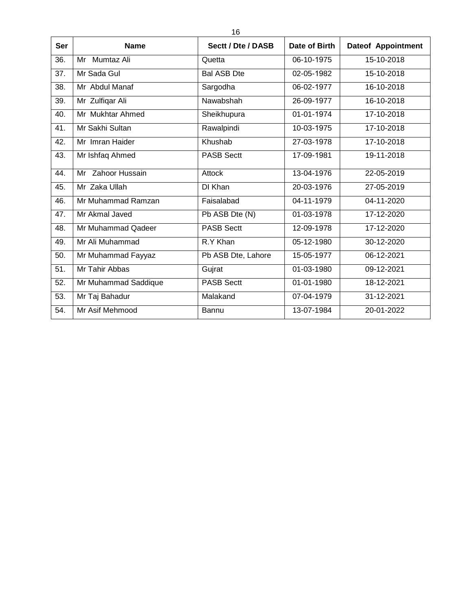| <b>Ser</b> | <b>Name</b>          | Sectt / Dte / DASB | Date of Birth | <b>Dateof Appointment</b> |
|------------|----------------------|--------------------|---------------|---------------------------|
| 36.        | Mumtaz Ali<br>Mr     | Quetta             | 06-10-1975    | 15-10-2018                |
| 37.        | Mr Sada Gul          | <b>Bal ASB Dte</b> | 02-05-1982    | 15-10-2018                |
| 38.        | Mr Abdul Manaf       | Sargodha           | 06-02-1977    | 16-10-2018                |
| 39.        | Mr Zulfiqar Ali      | Nawabshah          | 26-09-1977    | 16-10-2018                |
| 40.        | Mr Mukhtar Ahmed     | Sheikhupura        | 01-01-1974    | 17-10-2018                |
| 41.        | Mr Sakhi Sultan      | Rawalpindi         | 10-03-1975    | 17-10-2018                |
| 42.        | Mr Imran Haider      | Khushab            | 27-03-1978    | 17-10-2018                |
| 43.        | Mr Ishfaq Ahmed      | <b>PASB Sectt</b>  | 17-09-1981    | 19-11-2018                |
| 44.        | Mr Zahoor Hussain    | Attock             | 13-04-1976    | 22-05-2019                |
| 45.        | Mr Zaka Ullah        | DI Khan            | 20-03-1976    | 27-05-2019                |
| 46.        | Mr Muhammad Ramzan   | Faisalabad         | 04-11-1979    | 04-11-2020                |
| 47.        | Mr Akmal Javed       | Pb ASB Dte (N)     | 01-03-1978    | 17-12-2020                |
| 48.        | Mr Muhammad Qadeer   | <b>PASB Sectt</b>  | 12-09-1978    | 17-12-2020                |
| 49.        | Mr Ali Muhammad      | R.Y Khan           | 05-12-1980    | 30-12-2020                |
| 50.        | Mr Muhammad Fayyaz   | Pb ASB Dte, Lahore | 15-05-1977    | 06-12-2021                |
| 51.        | Mr Tahir Abbas       | Gujrat             | 01-03-1980    | 09-12-2021                |
| 52.        | Mr Muhammad Saddique | <b>PASB Sectt</b>  | 01-01-1980    | 18-12-2021                |
| 53.        | Mr Taj Bahadur       | Malakand           | 07-04-1979    | 31-12-2021                |
| 54.        | Mr Asif Mehmood      | Bannu              | 13-07-1984    | 20-01-2022                |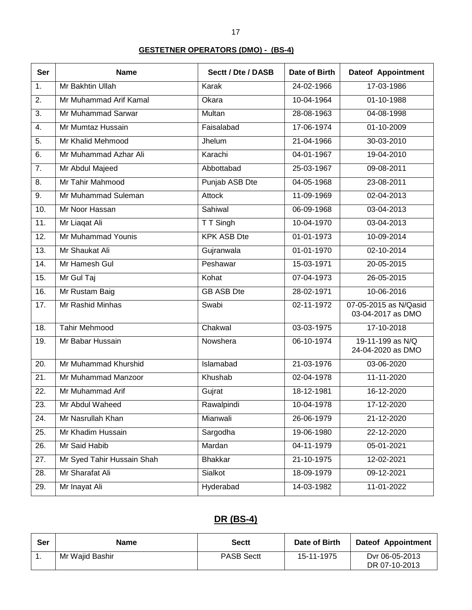#### **GESTETNER OPERATORS (DMO) - (BS-4)**

| <b>Ser</b>        | <b>Name</b>                | Sectt / Dte / DASB | Date of Birth | <b>Dateof Appointment</b>                  |
|-------------------|----------------------------|--------------------|---------------|--------------------------------------------|
| 1.                | Mr Bakhtin Ullah           | Karak              | 24-02-1966    | 17-03-1986                                 |
| $\overline{2}$ .  | Mr Muhammad Arif Kamal     | Okara              | 10-04-1964    | 01-10-1988                                 |
| 3.                | Mr Muhammad Sarwar         | Multan             | 28-08-1963    | 04-08-1998                                 |
| 4.                | Mr Mumtaz Hussain          | Faisalabad         | 17-06-1974    | 01-10-2009                                 |
| 5.                | Mr Khalid Mehmood          | Jhelum             | 21-04-1966    | 30-03-2010                                 |
| 6.                | Mr Muhammad Azhar Ali      | Karachi            | 04-01-1967    | 19-04-2010                                 |
| 7.                | Mr Abdul Majeed            | Abbottabad         | 25-03-1967    | 09-08-2011                                 |
| 8.                | Mr Tahir Mahmood           | Punjab ASB Dte     | 04-05-1968    | 23-08-2011                                 |
| 9.                | Mr Muhammad Suleman        | <b>Attock</b>      | 11-09-1969    | 02-04-2013                                 |
| 10.               | Mr Noor Hassan             | Sahiwal            | 06-09-1968    | 03-04-2013                                 |
| 11.               | Mr Liagat Ali              | T T Singh          | 10-04-1970    | 03-04-2013                                 |
| 12.               | Mr Muhammad Younis         | <b>KPK ASB Dte</b> | 01-01-1973    | 10-09-2014                                 |
| 13.               | Mr Shaukat Ali             | Gujranwala         | 01-01-1970    | 02-10-2014                                 |
| 14.               | Mr Hamesh Gul              | Peshawar           | 15-03-1971    | 20-05-2015                                 |
| 15.               | Mr Gul Taj                 | Kohat              | 07-04-1973    | 26-05-2015                                 |
| 16.               | Mr Rustam Baig             | <b>GB ASB Dte</b>  | 28-02-1971    | 10-06-2016                                 |
| 17.               | Mr Rashid Minhas           | Swabi              | 02-11-1972    | 07-05-2015 as N/Qasid<br>03-04-2017 as DMO |
| 18.               | <b>Tahir Mehmood</b>       | Chakwal            | 03-03-1975    | 17-10-2018                                 |
| 19.               | Mr Babar Hussain           | Nowshera           | 06-10-1974    | 19-11-199 as N/Q<br>24-04-2020 as DMO      |
| 20.               | Mr Muhammad Khurshid       | Islamabad          | 21-03-1976    | 03-06-2020                                 |
| $\overline{21}$ . | Mr Muhammad Manzoor        | Khushab            | 02-04-1978    | 11-11-2020                                 |
| $\overline{22}$ . | Mr Muhammad Arif           | Gujrat             | 18-12-1981    | 16-12-2020                                 |
| 23.               | Mr Abdul Waheed            | Rawalpindi         | 10-04-1978    | 17-12-2020                                 |
| 24.               | Mr Nasrullah Khan          | Mianwali           | 26-06-1979    | 21-12-2020                                 |
| 25.               | Mr Khadim Hussain          | Sargodha           | 19-06-1980    | 22-12-2020                                 |
| 26.               | Mr Said Habib              | Mardan             | 04-11-1979    | 05-01-2021                                 |
| 27.               | Mr Syed Tahir Hussain Shah | <b>Bhakkar</b>     | 21-10-1975    | 12-02-2021                                 |
| 28.               | Mr Sharafat Ali            | Sialkot            | 18-09-1979    | 09-12-2021                                 |
| 29.               | Mr Inayat Ali              | Hyderabad          | 14-03-1982    | 11-01-2022                                 |

# **DR (BS-4)**

| Ser | Name            | Sectt             | Date of Birth | <b>Dateof Appointment</b>       |
|-----|-----------------|-------------------|---------------|---------------------------------|
|     | Mr Wajid Bashir | <b>PASB Sectt</b> | 15-11-1975    | Dyr 06-05-2013<br>DR 07-10-2013 |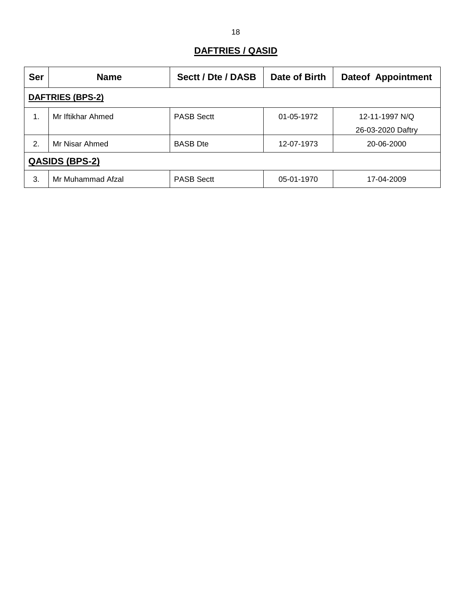### **DAFTRIES / QASID**

| <b>Ser</b>              | <b>Name</b>       | Sectt / Dte / DASB | Date of Birth | <b>Dateof Appointment</b> |  |  |
|-------------------------|-------------------|--------------------|---------------|---------------------------|--|--|
| <b>DAFTRIES (BPS-2)</b> |                   |                    |               |                           |  |  |
| 1.                      | Mr Iftikhar Ahmed | <b>PASB Sectt</b>  | 01-05-1972    | 12-11-1997 N/Q            |  |  |
|                         |                   |                    |               | 26-03-2020 Daftry         |  |  |
| 2.                      | Mr Nisar Ahmed    | <b>BASB</b> Dte    | 12-07-1973    | 20-06-2000                |  |  |
| <b>QASIDS (BPS-2)</b>   |                   |                    |               |                           |  |  |
| 3.                      | Mr Muhammad Afzal | <b>PASB Sectt</b>  | 05-01-1970    | 17-04-2009                |  |  |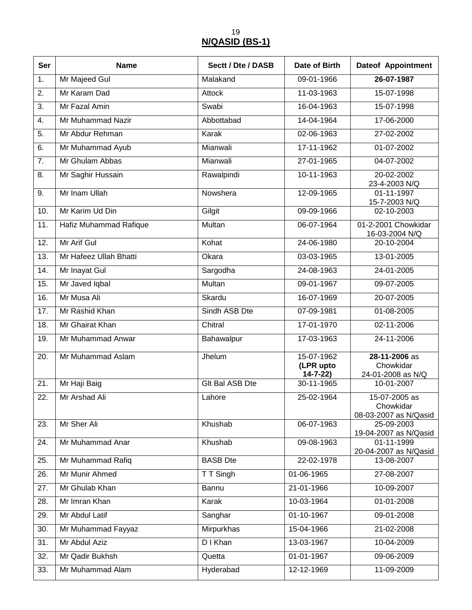19 **N/QASID (BS-1)**

| Ser              | <b>Name</b>            | Sectt / Dte / DASB     | Date of Birth                            | <b>Dateof Appointment</b>                           |
|------------------|------------------------|------------------------|------------------------------------------|-----------------------------------------------------|
| $\overline{1}$ . | Mr Majeed Gul          | Malakand               | 09-01-1966                               | 26-07-1987                                          |
| 2.               | Mr Karam Dad           | <b>Attock</b>          | 11-03-1963                               | 15-07-1998                                          |
| $\overline{3}$ . | Mr Fazal Amin          | Swabi                  | 16-04-1963                               | 15-07-1998                                          |
| 4.               | Mr Muhammad Nazir      | Abbottabad             | 14-04-1964                               | 17-06-2000                                          |
| 5.               | Mr Abdur Rehman        | Karak                  | 02-06-1963                               | 27-02-2002                                          |
| 6.               | Mr Muhammad Ayub       | Mianwali               | 17-11-1962                               | 01-07-2002                                          |
| $\overline{7}$ . | Mr Ghulam Abbas        | Mianwali               | 27-01-1965                               | 04-07-2002                                          |
| 8.               | Mr Saghir Hussain      | Rawalpindi             | 10-11-1963                               | 20-02-2002<br>23-4-2003 N/Q                         |
| 9.               | Mr Inam Ullah          | Nowshera               | 12-09-1965                               | 01-11-1997<br>15-7-2003 N/Q                         |
| 10.              | Mr Karim Ud Din        | Gilgit                 | 09-09-1966                               | 02-10-2003                                          |
| 11.              | Hafiz Muhammad Rafique | Multan                 | 06-07-1964                               | 01-2-2001 Chowkidar<br>16-03-2004 N/Q               |
| 12.              | Mr Arif Gul            | Kohat                  | 24-06-1980                               | 20-10-2004                                          |
| 13.              | Mr Hafeez Ullah Bhatti | Okara                  | 03-03-1965                               | 13-01-2005                                          |
| 14.              | Mr Inayat Gul          | Sargodha               | 24-08-1963                               | 24-01-2005                                          |
| 15.              | Mr Javed Iqbal         | Multan                 | 09-01-1967                               | 09-07-2005                                          |
| 16.              | Mr Musa Ali            | Skardu                 | 16-07-1969                               | 20-07-2005                                          |
| 17.              | Mr Rashid Khan         | Sindh ASB Dte          | 07-09-1981                               | 01-08-2005                                          |
| 18.              | Mr Ghairat Khan        | Chitral                | 17-01-1970                               | 02-11-2006                                          |
| 19.              | Mr Muhammad Anwar      | Bahawalpur             | 17-03-1963                               | 24-11-2006                                          |
| 20.              | Mr Muhammad Aslam      | Jhelum                 | 15-07-1962<br>(LPR upto<br>$14 - 7 - 22$ | 28-11-2006 as<br>Chowkidar<br>24-01-2008 as N/Q     |
| $\overline{21}$  | Mr Haji Baig           | <b>Glt Bal ASB Dte</b> | 30-11-1965                               | 10-01-2007                                          |
| 22.              | Mr Arshad Ali          | Lahore                 | 25-02-1964                               | 15-07-2005 as<br>Chowkidar<br>08-03-2007 as N/Qasid |
| 23.              | Mr Sher Ali            | Khushab                | 06-07-1963                               | 25-09-2003<br>19-04-2007 as N/Qasid                 |
| 24.              | Mr Muhammad Anar       | Khushab                | 09-08-1963                               | 01-11-1999<br>20-04-2007 as N/Qasid                 |
| 25.              | Mr Muhammad Rafiq      | <b>BASB</b> Dte        | 22-02-1978                               | 13-08-2007                                          |
| 26.              | Mr Munir Ahmed         | T T Singh              | 01-06-1965                               | 27-08-2007                                          |
| 27.              | Mr Ghulab Khan         | Bannu                  | 21-01-1966                               | 10-09-2007                                          |
| 28.              | Mr Imran Khan          | Karak                  | 10-03-1964                               | 01-01-2008                                          |
| 29.              | Mr Abdul Latif         | Sanghar                | 01-10-1967                               | 09-01-2008                                          |
| 30.              | Mr Muhammad Fayyaz     | Mirpurkhas             | 15-04-1966                               | 21-02-2008                                          |
| 31.              | Mr Abdul Aziz          | D I Khan               | 13-03-1967                               | 10-04-2009                                          |
| 32.              | Mr Qadir Bukhsh        | Quetta                 | 01-01-1967                               | 09-06-2009                                          |
| 33.              | Mr Muhammad Alam       | Hyderabad              | 12-12-1969                               | 11-09-2009                                          |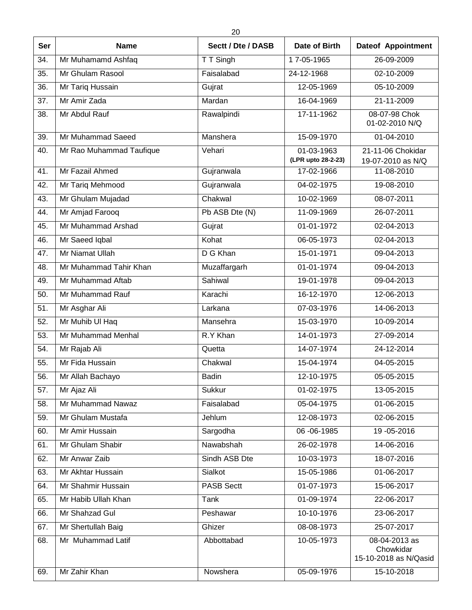| <b>Ser</b> | <b>Name</b>              | Sectt / Dte / DASB | Date of Birth                    | <b>Dateof Appointment</b>                           |
|------------|--------------------------|--------------------|----------------------------------|-----------------------------------------------------|
| 34.        | Mr Muhamamd Ashfaq       | T T Singh          | 17-05-1965                       | 26-09-2009                                          |
| 35.        | Mr Ghulam Rasool         | Faisalabad         | 24-12-1968                       | 02-10-2009                                          |
| 36.        | Mr Tariq Hussain         | Gujrat             | 12-05-1969                       | 05-10-2009                                          |
| 37.        | Mr Amir Zada             | Mardan             | 16-04-1969                       | 21-11-2009                                          |
| 38.        | Mr Abdul Rauf            | Rawalpindi         | 17-11-1962                       | 08-07-98 Chok<br>01-02-2010 N/Q                     |
| 39.        | Mr Muhammad Saeed        | Manshera           | 15-09-1970                       | 01-04-2010                                          |
| 40.        | Mr Rao Muhammad Taufique | Vehari             | 01-03-1963<br>(LPR upto 28-2-23) | 21-11-06 Chokidar<br>19-07-2010 as N/Q              |
| 41.        | Mr Fazail Ahmed          | Gujranwala         | 17-02-1966                       | 11-08-2010                                          |
| 42.        | Mr Tariq Mehmood         | Gujranwala         | 04-02-1975                       | 19-08-2010                                          |
| 43.        | Mr Ghulam Mujadad        | Chakwal            | 10-02-1969                       | 08-07-2011                                          |
| 44.        | Mr Amjad Farooq          | Pb ASB Dte (N)     | 11-09-1969                       | 26-07-2011                                          |
| 45.        | Mr Muhammad Arshad       | Gujrat             | 01-01-1972                       | 02-04-2013                                          |
| 46.        | Mr Saeed Iqbal           | Kohat              | 06-05-1973                       | 02-04-2013                                          |
| 47.        | Mr Niamat Ullah          | D G Khan           | 15-01-1971                       | 09-04-2013                                          |
| 48.        | Mr Muhammad Tahir Khan   | Muzaffargarh       | 01-01-1974                       | 09-04-2013                                          |
| 49.        | Mr Muhammad Aftab        | Sahiwal            | 19-01-1978                       | 09-04-2013                                          |
| 50.        | Mr Muhammad Rauf         | Karachi            | 16-12-1970                       | 12-06-2013                                          |
| 51.        | Mr Asghar Ali            | Larkana            | 07-03-1976                       | 14-06-2013                                          |
| 52.        | Mr Muhib UI Haq          | Mansehra           | 15-03-1970                       | 10-09-2014                                          |
| 53.        | Mr Muhammad Menhal       | R.Y Khan           | 14-01-1973                       | 27-09-2014                                          |
| 54.        | Mr Rajab Ali             | Quetta             | 14-07-1974                       | 24-12-2014                                          |
| 55.        | Mr Fida Hussain          | Chakwal            | 15-04-1974                       | 04-05-2015                                          |
| 56.        | Mr Allah Bachayo         | <b>Badin</b>       | 12-10-1975                       | 05-05-2015                                          |
| 57.        | Mr Ajaz Ali              | Sukkur             | 01-02-1975                       | 13-05-2015                                          |
| 58.        | Mr Muhammad Nawaz        | Faisalabad         | 05-04-1975                       | 01-06-2015                                          |
| 59.        | Mr Ghulam Mustafa        | Jehlum             | 12-08-1973                       | 02-06-2015                                          |
| 60.        | Mr Amir Hussain          | Sargodha           | 06-06-1985                       | 19 - 05 - 2016                                      |
| 61.        | Mr Ghulam Shabir         | Nawabshah          | 26-02-1978                       | 14-06-2016                                          |
| 62.        | Mr Anwar Zaib            | Sindh ASB Dte      | 10-03-1973                       | 18-07-2016                                          |
| 63.        | Mr Akhtar Hussain        | Sialkot            | 15-05-1986                       | 01-06-2017                                          |
| 64.        | Mr Shahmir Hussain       | <b>PASB Sectt</b>  | 01-07-1973                       | 15-06-2017                                          |
| 65.        | Mr Habib Ullah Khan      | Tank               | 01-09-1974                       | 22-06-2017                                          |
| 66.        | Mr Shahzad Gul           | Peshawar           | 10-10-1976                       | 23-06-2017                                          |
| 67.        | Mr Shertullah Baig       | Ghizer             | 08-08-1973                       | 25-07-2017                                          |
| 68.        | Mr Muhammad Latif        | Abbottabad         | 10-05-1973                       | 08-04-2013 as<br>Chowkidar<br>15-10-2018 as N/Qasid |
| 69.        | Mr Zahir Khan            | Nowshera           | 05-09-1976                       | 15-10-2018                                          |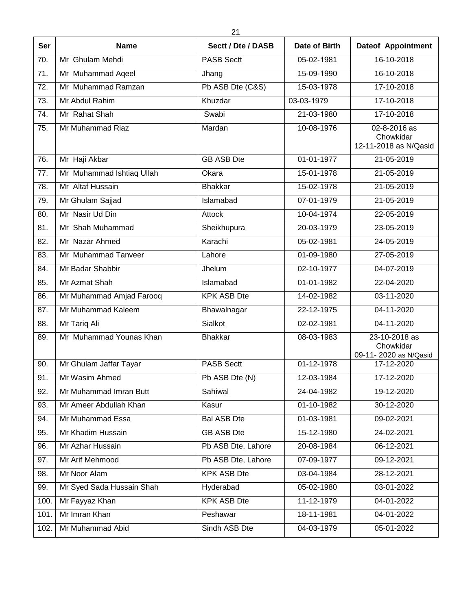| <b>Ser</b> | <b>Name</b>               | Sectt / Dte / DASB | Date of Birth | <b>Dateof Appointment</b>                           |
|------------|---------------------------|--------------------|---------------|-----------------------------------------------------|
| 70.        | Mr Ghulam Mehdi           | <b>PASB Sectt</b>  | 05-02-1981    | 16-10-2018                                          |
| 71.        | Mr Muhammad Aqeel         | Jhang              | 15-09-1990    | 16-10-2018                                          |
| 72.        | Mr Muhammad Ramzan        | Pb ASB Dte (C&S)   | 15-03-1978    | 17-10-2018                                          |
| 73.        | Mr Abdul Rahim            | Khuzdar            | 03-03-1979    | 17-10-2018                                          |
| 74.        | Mr Rahat Shah             | Swabi              | 21-03-1980    | 17-10-2018                                          |
| 75.        | Mr Muhammad Riaz          | Mardan             | 10-08-1976    | 02-8-2016 as<br>Chowkidar<br>12-11-2018 as N/Qasid  |
| 76.        | Mr Haji Akbar             | <b>GB ASB Dte</b>  | 01-01-1977    | 21-05-2019                                          |
| 77.        | Mr Muhammad Ishtiaq Ullah | Okara              | 15-01-1978    | 21-05-2019                                          |
| 78.        | Mr Altaf Hussain          | <b>Bhakkar</b>     | 15-02-1978    | 21-05-2019                                          |
| 79.        | Mr Ghulam Sajjad          | Islamabad          | 07-01-1979    | 21-05-2019                                          |
| 80.        | Mr Nasir Ud Din           | Attock             | 10-04-1974    | 22-05-2019                                          |
| 81.        | Mr Shah Muhammad          | Sheikhupura        | 20-03-1979    | 23-05-2019                                          |
| 82.        | Mr Nazar Ahmed            | Karachi            | 05-02-1981    | 24-05-2019                                          |
| 83.        | Mr Muhammad Tanveer       | Lahore             | 01-09-1980    | 27-05-2019                                          |
| 84.        | Mr Badar Shabbir          | Jhelum             | 02-10-1977    | 04-07-2019                                          |
| 85.        | Mr Azmat Shah             | Islamabad          | 01-01-1982    | 22-04-2020                                          |
| 86.        | Mr Muhammad Amjad Farooq  | <b>KPK ASB Dte</b> | 14-02-1982    | 03-11-2020                                          |
| 87.        | Mr Muhammad Kaleem        | Bhawalnagar        | 22-12-1975    | 04-11-2020                                          |
| 88.        | Mr Tariq Ali              | Sialkot            | 02-02-1981    | 04-11-2020                                          |
| 89.        | Mr Muhammad Younas Khan   | <b>Bhakkar</b>     | 08-03-1983    | 23-10-2018 as<br>Chowkidar<br>09-11-2020 as N/Qasid |
| 90.        | Mr Ghulam Jaffar Tayar    | <b>PASB Sectt</b>  | 01-12-1978    | 17-12-2020                                          |
| 91.        | Mr Wasim Ahmed            | Pb ASB Dte (N)     | 12-03-1984    | 17-12-2020                                          |
| 92.        | Mr Muhammad Imran Butt    | Sahiwal            | 24-04-1982    | 19-12-2020                                          |
| 93.        | Mr Ameer Abdullah Khan    | Kasur              | 01-10-1982    | 30-12-2020                                          |
| 94.        | Mr Muhammad Essa          | <b>Bal ASB Dte</b> | 01-03-1981    | 09-02-2021                                          |
| 95.        | Mr Khadim Hussain         | <b>GB ASB Dte</b>  | 15-12-1980    | 24-02-2021                                          |
| 96.        | Mr Azhar Hussain          | Pb ASB Dte, Lahore | 20-08-1984    | 06-12-2021                                          |
| 97.        | Mr Arif Mehmood           | Pb ASB Dte, Lahore | 07-09-1977    | 09-12-2021                                          |
| 98.        | Mr Noor Alam              | <b>KPK ASB Dte</b> | 03-04-1984    | 28-12-2021                                          |
| 99.        | Mr Syed Sada Hussain Shah | Hyderabad          | 05-02-1980    | 03-01-2022                                          |
| 100.       | Mr Fayyaz Khan            | <b>KPK ASB Dte</b> | 11-12-1979    | 04-01-2022                                          |
| 101.       | Mr Imran Khan             | Peshawar           | 18-11-1981    | 04-01-2022                                          |
| 102.       | Mr Muhammad Abid          | Sindh ASB Dte      | 04-03-1979    | 05-01-2022                                          |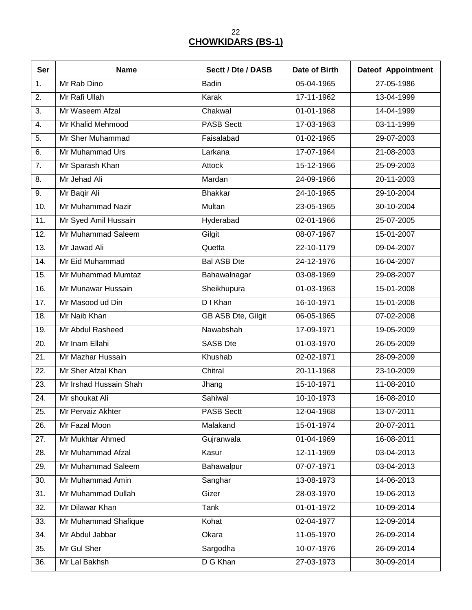22 **CHOWKIDARS (BS-1)**

| Ser               | <b>Name</b>            | Sectt / Dte / DASB | Date of Birth    | <b>Dateof Appointment</b> |
|-------------------|------------------------|--------------------|------------------|---------------------------|
| 1.                | Mr Rab Dino            | <b>Badin</b>       | 05-04-1965       | 27-05-1986                |
| $\overline{2}$ .  | Mr Rafi Ullah          | Karak              | 17-11-1962       | 13-04-1999                |
| 3.                | Mr Waseem Afzal        | Chakwal            | 01-01-1968       | 14-04-1999                |
| 4.                | Mr Khalid Mehmood      | <b>PASB Sectt</b>  | 17-03-1963       | 03-11-1999                |
| $\overline{5}$ .  | Mr Sher Muhammad       | Faisalabad         | 01-02-1965       | 29-07-2003                |
| 6.                | Mr Muhammad Urs        | Larkana            | 17-07-1964       | 21-08-2003                |
| 7.                | Mr Sparash Khan        | Attock             | 15-12-1966       | 25-09-2003                |
| 8.                | Mr Jehad Ali           | Mardan             | 24-09-1966       | 20-11-2003                |
| 9.                | Mr Baqir Ali           | <b>Bhakkar</b>     | 24-10-1965       | 29-10-2004                |
| 10.               | Mr Muhammad Nazir      | Multan             | 23-05-1965       | 30-10-2004                |
| 11.               | Mr Syed Amil Hussain   | Hyderabad          | 02-01-1966       | 25-07-2005                |
| 12.               | Mr Muhammad Saleem     | Gilgit             | 08-07-1967       | 15-01-2007                |
| 13.               | Mr Jawad Ali           | Quetta             | 22-10-1179       | 09-04-2007                |
| 14.               | Mr Eid Muhammad        | <b>Bal ASB Dte</b> | 24-12-1976       | 16-04-2007                |
| 15.               | Mr Muhammad Mumtaz     | Bahawalnagar       | 03-08-1969       | 29-08-2007                |
| 16.               | Mr Munawar Hussain     | Sheikhupura        | 01-03-1963       | 15-01-2008                |
| 17.               | Mr Masood ud Din       | D I Khan           | 16-10-1971       | 15-01-2008                |
| 18.               | Mr Naib Khan           | GB ASB Dte, Gilgit | 06-05-1965       | 07-02-2008                |
| 19.               | Mr Abdul Rasheed       | Nawabshah          | 17-09-1971       | 19-05-2009                |
| 20.               | Mr Inam Ellahi         | <b>SASB Dte</b>    | 01-03-1970       | 26-05-2009                |
| 21.               | Mr Mazhar Hussain      | Khushab            | 02-02-1971       | 28-09-2009                |
| 22.               | Mr Sher Afzal Khan     | Chitral            | 20-11-1968       | 23-10-2009                |
| $\overline{23}$ . | Mr Irshad Hussain Shah | Jhang              | 15-10-1971       | 11-08-2010                |
| 24.               | Mr shoukat Ali         | Sahiwal            | 10-10-1973       | 16-08-2010                |
| 25.               | Mr Pervaiz Akhter      | <b>PASB Sectt</b>  | 12-04-1968       | 13-07-2011                |
| 26.               | Mr Fazal Moon          | Malakand           | 15-01-1974       | 20-07-2011                |
| 27.               | Mr Mukhtar Ahmed       | Gujranwala         | 01-04-1969       | 16-08-2011                |
| 28.               | Mr Muhammad Afzal      | Kasur              | 12-11-1969       | 03-04-2013                |
| 29.               | Mr Muhammad Saleem     | Bahawalpur         | 07-07-1971       | 03-04-2013                |
| 30.               | Mr Muhammad Amin       | Sanghar            | 13-08-1973       | 14-06-2013                |
| 31.               | Mr Muhammad Dullah     | Gizer              | 28-03-1970       | 19-06-2013                |
| 32.               | Mr Dilawar Khan        | Tank               | $01 - 01 - 1972$ | 10-09-2014                |
| 33.               | Mr Muhammad Shafique   | Kohat              | 02-04-1977       | 12-09-2014                |
| 34.               | Mr Abdul Jabbar        | Okara              | 11-05-1970       | 26-09-2014                |
| 35.               | Mr Gul Sher            | Sargodha           | 10-07-1976       | 26-09-2014                |
| 36.               | Mr Lal Bakhsh          | D G Khan           | 27-03-1973       | 30-09-2014                |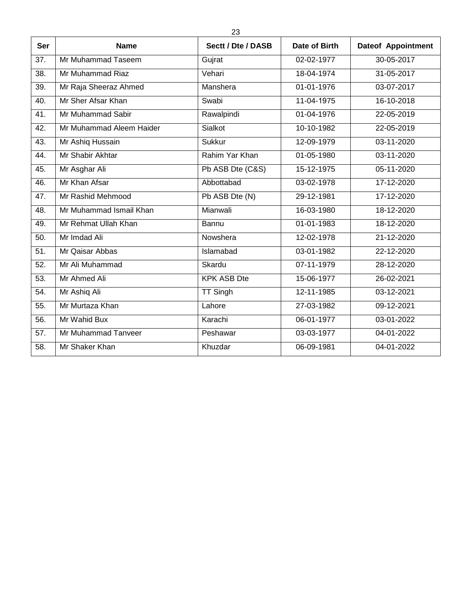| <b>Ser</b> | <b>Name</b>              | Sectt / Dte / DASB | Date of Birth | <b>Dateof Appointment</b> |
|------------|--------------------------|--------------------|---------------|---------------------------|
| 37.        | Mr Muhammad Taseem       | Gujrat             | 02-02-1977    | 30-05-2017                |
| 38.        | Mr Muhammad Riaz         | Vehari             | 18-04-1974    | 31-05-2017                |
| 39.        | Mr Raja Sheeraz Ahmed    | Manshera           | 01-01-1976    | 03-07-2017                |
| 40.        | Mr Sher Afsar Khan       | Swabi              | 11-04-1975    | 16-10-2018                |
| 41.        | Mr Muhammad Sabir        | Rawalpindi         | 01-04-1976    | 22-05-2019                |
| 42.        | Mr Muhammad Aleem Haider | Sialkot            | 10-10-1982    | 22-05-2019                |
| 43.        | Mr Ashiq Hussain         | <b>Sukkur</b>      | 12-09-1979    | 03-11-2020                |
| 44.        | Mr Shabir Akhtar         | Rahim Yar Khan     | 01-05-1980    | 03-11-2020                |
| 45.        | Mr Asghar Ali            | Pb ASB Dte (C&S)   | 15-12-1975    | 05-11-2020                |
| 46.        | Mr Khan Afsar            | Abbottabad         | 03-02-1978    | 17-12-2020                |
| 47.        | Mr Rashid Mehmood        | Pb ASB Dte (N)     | 29-12-1981    | 17-12-2020                |
| 48.        | Mr Muhammad Ismail Khan  | Mianwali           | 16-03-1980    | 18-12-2020                |
| 49.        | Mr Rehmat Ullah Khan     | Bannu              | 01-01-1983    | 18-12-2020                |
| 50.        | Mr Imdad Ali             | Nowshera           | 12-02-1978    | 21-12-2020                |
| 51.        | Mr Qaisar Abbas          | Islamabad          | 03-01-1982    | 22-12-2020                |
| 52.        | Mr Ali Muhammad          | Skardu             | 07-11-1979    | 28-12-2020                |
| 53.        | Mr Ahmed Ali             | <b>KPK ASB Dte</b> | 15-06-1977    | 26-02-2021                |
| 54.        | Mr Ashiq Ali             | <b>TT Singh</b>    | 12-11-1985    | 03-12-2021                |
| 55.        | Mr Murtaza Khan          | Lahore             | 27-03-1982    | 09-12-2021                |
| 56.        | Mr Wahid Bux             | Karachi            | 06-01-1977    | 03-01-2022                |
| 57.        | Mr Muhammad Tanveer      | Peshawar           | 03-03-1977    | 04-01-2022                |
| 58.        | Mr Shaker Khan           | Khuzdar            | 06-09-1981    | 04-01-2022                |